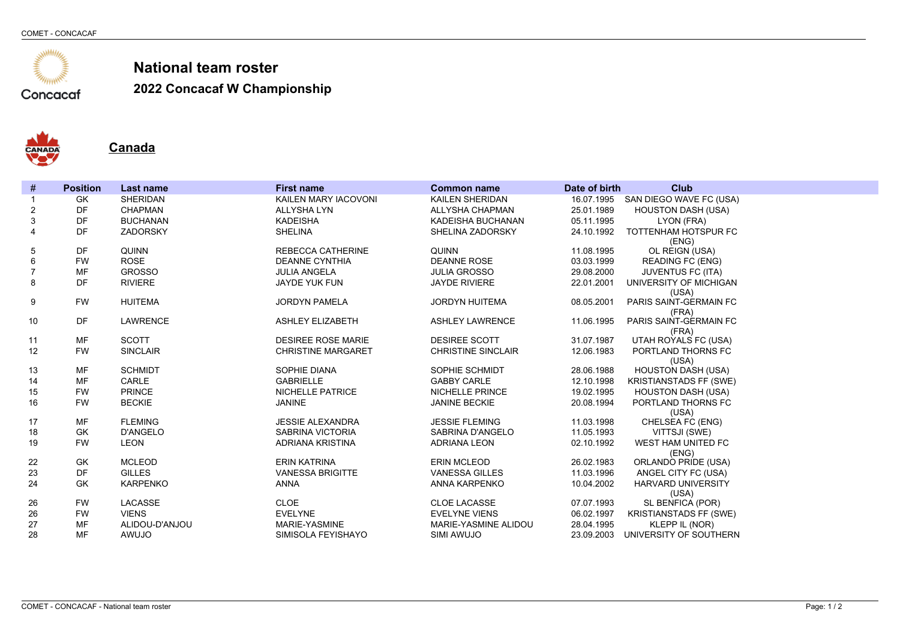

**2022 Concacaf W Championship**



**Canada**

| #              | <b>Position</b> | <b>Last name</b> | <b>First name</b>         | <b>Common name</b>        | Date of birth | <b>Club</b>                        |
|----------------|-----------------|------------------|---------------------------|---------------------------|---------------|------------------------------------|
|                | GK              | <b>SHERIDAN</b>  | KAILEN MARY IACOVONI      | KAILEN SHERIDAN           |               | 16.07.1995 SAN DIEGO WAVE FC (USA) |
| 2              | DF              | <b>CHAPMAN</b>   | <b>ALLYSHA LYN</b>        | ALLYSHA CHAPMAN           | 25.01.1989    | <b>HOUSTON DASH (USA)</b>          |
| 3              | DF              | <b>BUCHANAN</b>  | <b>KADEISHA</b>           | KADEISHA BUCHANAN         | 05.11.1995    | LYON (FRA)                         |
| $\overline{4}$ | DF              | ZADORSKY         | <b>SHELINA</b>            | SHELINA ZADORSKY          | 24.10.1992    | TOTTENHAM HOTSPUR FC               |
|                |                 |                  |                           |                           |               | (ENG)                              |
| 5              | DF              | QUINN            | <b>REBECCA CATHERINE</b>  | <b>QUINN</b>              | 11.08.1995    | OL REIGN (USA)                     |
| 6              | <b>FW</b>       | <b>ROSE</b>      | <b>DEANNE CYNTHIA</b>     | <b>DEANNE ROSE</b>        | 03.03.1999    | <b>READING FC (ENG)</b>            |
| $\overline{7}$ | <b>MF</b>       | <b>GROSSO</b>    | <b>JULIA ANGELA</b>       | <b>JULIA GROSSO</b>       | 29.08.2000    | <b>JUVENTUS FC (ITA)</b>           |
| 8              | DF              | <b>RIVIERE</b>   | JAYDE YUK FUN             | <b>JAYDE RIVIERE</b>      | 22.01.2001    | UNIVERSITY OF MICHIGAN             |
|                |                 |                  |                           |                           |               | (USA)                              |
| 9              | <b>FW</b>       | <b>HUITEMA</b>   | <b>JORDYN PAMELA</b>      | <b>JORDYN HUITEMA</b>     | 08.05.2001    | PARIS SAINT-GERMAIN FC             |
| 10             | DF              | <b>LAWRENCE</b>  | <b>ASHLEY ELIZABETH</b>   | <b>ASHLEY LAWRENCE</b>    | 11.06.1995    | (FRA)<br>PARIS SAINT-GERMAIN FC    |
|                |                 |                  |                           |                           |               | (FRA)                              |
| 11             | MF              | <b>SCOTT</b>     | <b>DESIREE ROSE MARIE</b> | <b>DESIREE SCOTT</b>      | 31.07.1987    | UTAH ROYALS FC (USA)               |
| 12             | <b>FW</b>       | <b>SINCLAIR</b>  | <b>CHRISTINE MARGARET</b> | <b>CHRISTINE SINCLAIR</b> | 12.06.1983    | PORTLAND THORNS FC                 |
|                |                 |                  |                           |                           |               | (USA)                              |
| 13             | MF              | <b>SCHMIDT</b>   | SOPHIE DIANA              | SOPHIE SCHMIDT            | 28.06.1988    | <b>HOUSTON DASH (USA)</b>          |
| 14             | <b>MF</b>       | CARLE            | <b>GABRIELLE</b>          | <b>GABBY CARLE</b>        | 12.10.1998    | <b>KRISTIANSTADS FF (SWE)</b>      |
| 15             | <b>FW</b>       | <b>PRINCE</b>    | <b>NICHELLE PATRICE</b>   | <b>NICHELLE PRINCE</b>    | 19.02.1995    | <b>HOUSTON DASH (USA)</b>          |
| 16             | <b>FW</b>       | <b>BECKIE</b>    | <b>JANINE</b>             | <b>JANINE BECKIE</b>      | 20.08.1994    | PORTLAND THORNS FC                 |
|                |                 |                  |                           |                           |               | (USA)                              |
| 17             | MF              | <b>FLEMING</b>   | <b>JESSIE ALEXANDRA</b>   | <b>JESSIE FLEMING</b>     | 11.03.1998    | CHELSEA FC (ENG)                   |
| 18             | <b>GK</b>       | <b>D'ANGELO</b>  | <b>SABRINA VICTORIA</b>   | SABRINA D'ANGELO          | 11.05.1993    | VITTSJI (SWE)                      |
| 19             | <b>FW</b>       | <b>LEON</b>      | ADRIANA KRISTINA          | <b>ADRIANA LEON</b>       | 02.10.1992    | WEST HAM UNITED FC                 |
|                |                 |                  |                           |                           |               | (ENG)                              |
| 22             | GK              | <b>MCLEOD</b>    | <b>ERIN KATRINA</b>       | <b>ERIN MCLEOD</b>        | 26.02.1983    | <b>ORLANDO PRIDE (USA)</b>         |
| 23             | DF              | <b>GILLES</b>    | <b>VANESSA BRIGITTE</b>   | <b>VANESSA GILLES</b>     | 11.03.1996    | ANGEL CITY FC (USA)                |
| 24             | GK              | <b>KARPENKO</b>  | <b>ANNA</b>               | ANNA KARPENKO             | 10.04.2002    | <b>HARVARD UNIVERSITY</b>          |
|                |                 |                  |                           |                           |               | (USA)                              |
| 26             | <b>FW</b>       | LACASSE          | CLOE                      | <b>CLOE LACASSE</b>       | 07.07.1993    | SL BENFICA (POR)                   |
| 26             | <b>FW</b>       | <b>VIENS</b>     | <b>EVELYNE</b>            | <b>EVELYNE VIENS</b>      | 06.02.1997    | <b>KRISTIANSTADS FF (SWE)</b>      |
| 27             | MF              | ALIDOU-D'ANJOU   | MARIE-YASMINE             | MARIE-YASMINE ALIDOU      | 28.04.1995    | KLEPP IL (NOR)                     |
| 28             | <b>MF</b>       | AWUJO            | SIMISOLA FEYISHAYO        | SIMI AWUJO                | 23.09.2003    | UNIVERSITY OF SOUTHERN             |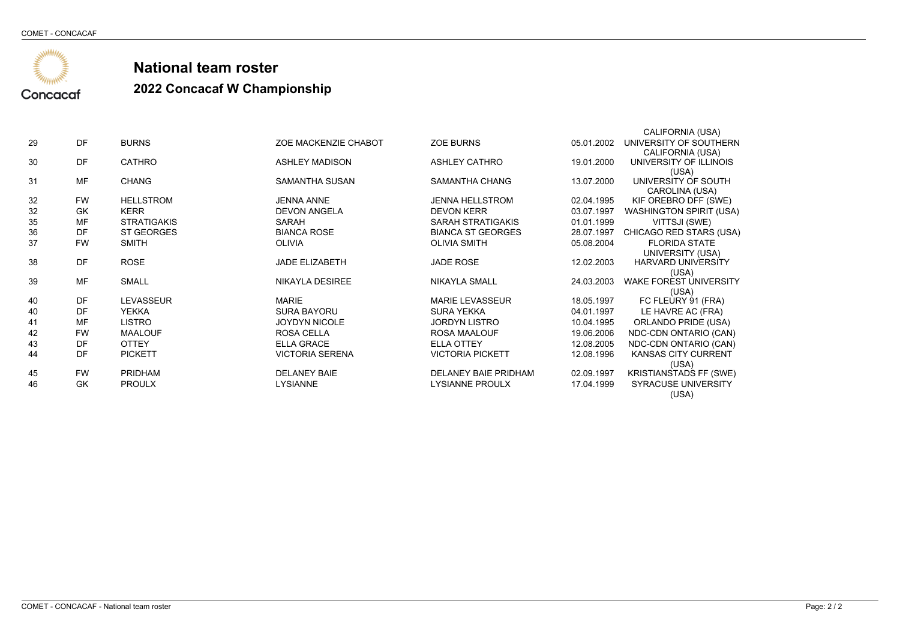

### **National team roster2022 Concacaf W Championship**

|    |           |                    |                        |                             |            | CALIFORNIA (USA)               |
|----|-----------|--------------------|------------------------|-----------------------------|------------|--------------------------------|
| 29 | <b>DF</b> | <b>BURNS</b>       | ZOE MACKENZIE CHABOT   | <b>ZOE BURNS</b>            | 05.01.2002 | UNIVERSITY OF SOUTHERN         |
|    |           |                    |                        |                             |            | CALIFORNIA (USA)               |
| 30 | <b>DF</b> | <b>CATHRO</b>      | <b>ASHLEY MADISON</b>  | <b>ASHLEY CATHRO</b>        | 19.01.2000 | UNIVERSITY OF ILLINOIS         |
|    |           |                    |                        |                             |            | (USA)                          |
| 31 | <b>MF</b> | <b>CHANG</b>       | SAMANTHA SUSAN         | SAMANTHA CHANG              | 13.07.2000 | UNIVERSITY OF SOUTH            |
|    | <b>FW</b> | <b>HELLSTROM</b>   | <b>JENNA ANNE</b>      | <b>JENNA HELLSTROM</b>      |            | CAROLINA (USA)                 |
| 32 |           |                    |                        |                             | 02.04.1995 | KIF OREBRO DFF (SWE)           |
| 32 | GK        | <b>KERR</b>        | <b>DEVON ANGELA</b>    | <b>DEVON KERR</b>           | 03.07.1997 | <b>WASHINGTON SPIRIT (USA)</b> |
| 35 | <b>MF</b> | <b>STRATIGAKIS</b> | SARAH                  | SARAH STRATIGAKIS           | 01.01.1999 | VITTSJI (SWE)                  |
| 36 | DF        | ST GEORGES         | <b>BIANCA ROSE</b>     | <b>BIANCA ST GEORGES</b>    | 28.07.1997 | CHICAGO RED STARS (USA)        |
| 37 | <b>FW</b> | <b>SMITH</b>       | <b>OLIVIA</b>          | <b>OLIVIA SMITH</b>         | 05.08.2004 | <b>FLORIDA STATE</b>           |
|    |           |                    |                        |                             |            | UNIVERSITY (USA)               |
| 38 | <b>DF</b> | <b>ROSE</b>        | <b>JADE ELIZABETH</b>  | <b>JADE ROSE</b>            | 12.02.2003 | <b>HARVARD UNIVERSITY</b>      |
|    |           |                    |                        |                             |            | (USA)                          |
| 39 | <b>MF</b> | <b>SMALL</b>       | <b>NIKAYLA DESIREE</b> | <b>NIKAYLA SMALL</b>        | 24.03.2003 | <b>WAKE FOREST UNIVERSITY</b>  |
|    |           |                    |                        |                             |            | (USA)                          |
| 40 | DF        | <b>LEVASSEUR</b>   | <b>MARIE</b>           | <b>MARIE LEVASSEUR</b>      | 18.05.1997 | FC FLEURY 91 (FRA)             |
| 40 | DF        | <b>YEKKA</b>       | <b>SURA BAYORU</b>     | SURA YEKKA                  | 04.01.1997 | LE HAVRE AC (FRA)              |
| 41 | <b>MF</b> | <b>LISTRO</b>      | <b>JOYDYN NICOLE</b>   | <b>JORDYN LISTRO</b>        | 10.04.1995 | ORLANDO PRIDE (USA)            |
| 42 | <b>FW</b> | <b>MAALOUF</b>     | <b>ROSA CELLA</b>      | ROSA MAALOUF                | 19.06.2006 | NDC-CDN ONTARIO (CAN)          |
| 43 | DF        | <b>OTTEY</b>       | <b>ELLA GRACE</b>      | <b>ELLA OTTEY</b>           | 12.08.2005 | NDC-CDN ONTARIO (CAN)          |
| 44 | DF        | <b>PICKETT</b>     | <b>VICTORIA SERENA</b> | <b>VICTORIA PICKETT</b>     | 12.08.1996 | KANSAS CITY CURRENT            |
|    |           |                    |                        |                             |            | (USA)                          |
| 45 | <b>FW</b> | <b>PRIDHAM</b>     | <b>DELANEY BAIE</b>    | <b>DELANEY BAIE PRIDHAM</b> | 02.09.1997 | KRISTIANSTADS FF (SWE)         |
| 46 | GK        | <b>PROULX</b>      | LYSIANNE               | <b>LYSIANNE PROULX</b>      | 17.04.1999 | <b>SYRACUSE UNIVERSITY</b>     |
|    |           |                    |                        |                             |            | (USA)                          |
|    |           |                    |                        |                             |            |                                |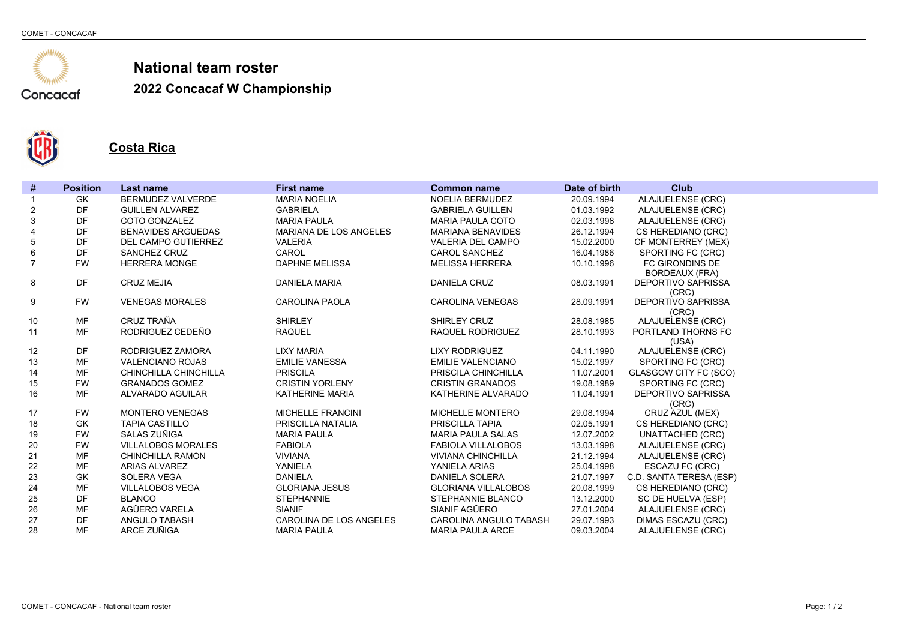

**2022 Concacaf W Championship**



**Costa Rica**

| #              | <b>Position</b> | Last name                 | <b>First name</b>        | <b>Common name</b>         | Date of birth | <b>Club</b>                              |
|----------------|-----------------|---------------------------|--------------------------|----------------------------|---------------|------------------------------------------|
| 1              | <b>GK</b>       | BERMUDEZ VALVERDE         | <b>MARIA NOELIA</b>      | NOELIA BERMUDEZ            | 20.09.1994    | <b>ALAJUELENSE (CRC)</b>                 |
| $\overline{c}$ | <b>DF</b>       | <b>GUILLEN ALVAREZ</b>    | <b>GABRIELA</b>          | <b>GABRIELA GUILLEN</b>    | 01.03.1992    | ALAJUELENSE (CRC)                        |
| 3              | DF              | COTO GONZALEZ             | <b>MARIA PAULA</b>       | <b>MARIA PAULA COTO</b>    | 02.03.1998    | ALAJUELENSE (CRC)                        |
| 4              | DF              | <b>BENAVIDES ARGUEDAS</b> | MARIANA DE LOS ANGELES   | <b>MARIANA BENAVIDES</b>   | 26.12.1994    | CS HEREDIANO (CRC)                       |
| $\mathbf 5$    | <b>DF</b>       | DEL CAMPO GUTIERREZ       | <b>VALERIA</b>           | <b>VALERIA DEL CAMPO</b>   | 15.02.2000    | CF MONTERREY (MEX)                       |
| 6              | <b>DF</b>       | SANCHEZ CRUZ              | CAROL                    | <b>CAROL SANCHEZ</b>       | 16.04.1986    | SPORTING FC (CRC)                        |
| $\overline{7}$ | <b>FW</b>       | <b>HERRERA MONGE</b>      | <b>DAPHNE MELISSA</b>    | <b>MELISSA HERRERA</b>     | 10.10.1996    | FC GIRONDINS DE<br><b>BORDEAUX (FRA)</b> |
| 8              | <b>DF</b>       | <b>CRUZ MEJIA</b>         | <b>DANIELA MARIA</b>     | <b>DANIELA CRUZ</b>        | 08.03.1991    | <b>DEPORTIVO SAPRISSA</b><br>(CRC)       |
| 9              | <b>FW</b>       | <b>VENEGAS MORALES</b>    | <b>CAROLINA PAOLA</b>    | <b>CAROLINA VENEGAS</b>    | 28.09.1991    | <b>DEPORTIVO SAPRISSA</b><br>(CRC)       |
| 10             | <b>MF</b>       | CRUZ TRAÑA                | <b>SHIRLEY</b>           | SHIRLEY CRUZ               | 28.08.1985    | ALAJUELENSE (CRC)                        |
| 11             | <b>MF</b>       | RODRIGUEZ CEDEÑO          | <b>RAQUEL</b>            | RAQUEL RODRIGUEZ           | 28.10.1993    | PORTLAND THORNS FC                       |
|                |                 |                           |                          |                            |               | (USA)                                    |
| 12             | <b>DF</b>       | RODRIGUEZ ZAMORA          | <b>LIXY MARIA</b>        | <b>LIXY RODRIGUEZ</b>      | 04.11.1990    | ALAJUELENSE (CRC)                        |
| 13             | <b>MF</b>       | <b>VALENCIANO ROJAS</b>   | <b>EMILIE VANESSA</b>    | <b>EMILIE VALENCIANO</b>   | 15.02.1997    | SPORTING FC (CRC)                        |
| 14             | <b>MF</b>       | CHINCHILLA CHINCHILLA     | <b>PRISCILA</b>          | PRISCILA CHINCHILLA        | 11.07.2001    | <b>GLASGOW CITY FC (SCO)</b>             |
| 15             | <b>FW</b>       | <b>GRANADOS GOMEZ</b>     | <b>CRISTIN YORLENY</b>   | <b>CRISTIN GRANADOS</b>    | 19.08.1989    | SPORTING FC (CRC)                        |
| 16             | <b>MF</b>       | ALVARADO AGUILAR          | KATHERINE MARIA          | KATHERINE ALVARADO         | 11.04.1991    | <b>DEPORTIVO SAPRISSA</b><br>(CRC)       |
| 17             | <b>FW</b>       | <b>MONTERO VENEGAS</b>    | <b>MICHELLE FRANCINI</b> | <b>MICHELLE MONTERO</b>    | 29.08.1994    | CRUZ AZUL (MEX)                          |
| 18             | <b>GK</b>       | <b>TAPIA CASTILLO</b>     | PRISCILLA NATALIA        | PRISCILLA TAPIA            | 02.05.1991    | CS HEREDIANO (CRC)                       |
| 19             | <b>FW</b>       | SALAS ZUÑIGA              | <b>MARIA PAULA</b>       | <b>MARIA PAULA SALAS</b>   | 12.07.2002    | <b>UNATTACHED (CRC)</b>                  |
| 20             | <b>FW</b>       | <b>VILLALOBOS MORALES</b> | <b>FABIOLA</b>           | <b>FABIOLA VILLALOBOS</b>  | 13.03.1998    | ALAJUELENSE (CRC)                        |
| 21             | <b>MF</b>       | <b>CHINCHILLA RAMON</b>   | <b>VIVIANA</b>           | <b>VIVIANA CHINCHILLA</b>  | 21.12.1994    | ALAJUELENSE (CRC)                        |
| 22             | MF              | ARIAS ALVAREZ             | YANIELA                  | YANIELA ARIAS              | 25.04.1998    | ESCAZU FC (CRC)                          |
| 23             | <b>GK</b>       | <b>SOLERA VEGA</b>        | <b>DANIELA</b>           | <b>DANIELA SOLERA</b>      | 21.07.1997    | C.D. SANTA TERESA (ESP)                  |
| 24             | MF              | <b>VILLALOBOS VEGA</b>    | <b>GLORIANA JESUS</b>    | <b>GLORIANA VILLALOBOS</b> | 20.08.1999    | CS HEREDIANO (CRC)                       |
| 25             | <b>DF</b>       | <b>BLANCO</b>             | <b>STEPHANNIE</b>        | STEPHANNIE BLANCO          | 13.12.2000    | SC DE HUELVA (ESP)                       |
| 26             | <b>MF</b>       | AGÜERO VARELA             | <b>SIANIF</b>            | SIANIF AGÜERO              | 27.01.2004    | ALAJUELENSE (CRC)                        |
| 27             | <b>DF</b>       | <b>ANGULO TABASH</b>      | CAROLINA DE LOS ANGELES  | CAROLINA ANGULO TABASH     | 29.07.1993    | <b>DIMAS ESCAZU (CRC)</b>                |
| 28             | <b>MF</b>       | ARCE ZUÑIGA               | <b>MARIA PAULA</b>       | <b>MARIA PAULA ARCE</b>    | 09.03.2004    | ALAJUELENSE (CRC)                        |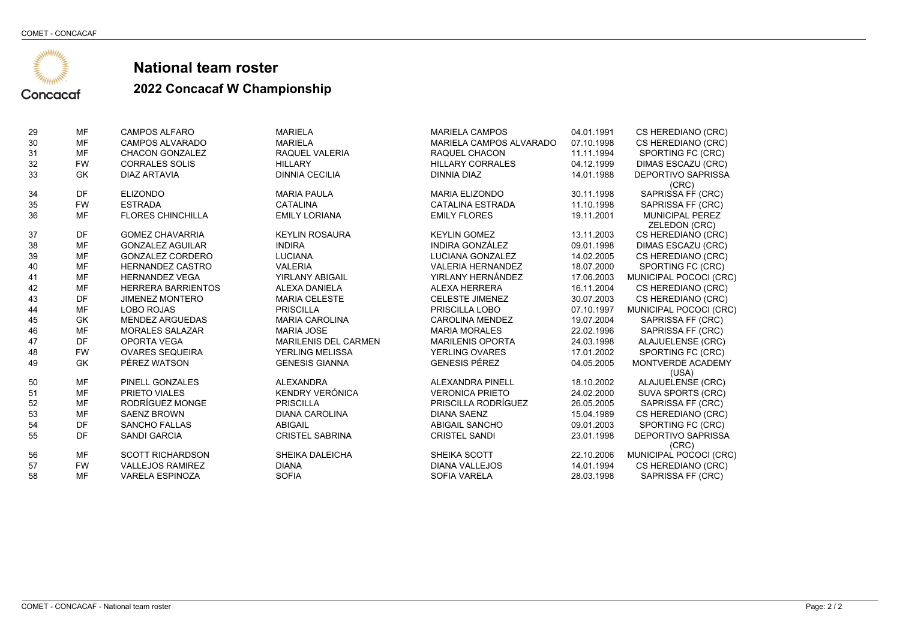

| 29 | MF        | <b>CAMPOS ALFARO</b>      | <b>MARIELA</b>              | <b>MARIELA CAMPOS</b>    | 04.01.1991 | CS HEREDIANO (CRC)                 |
|----|-----------|---------------------------|-----------------------------|--------------------------|------------|------------------------------------|
| 30 | MF        | <b>CAMPOS ALVARADO</b>    | <b>MARIELA</b>              | MARIELA CAMPOS ALVARADO  | 07.10.1998 | CS HEREDIANO (CRC)                 |
| 31 | MF        | <b>CHACON GONZALEZ</b>    | RAQUEL VALERIA              | RAQUEL CHACON            | 11.11.1994 | SPORTING FC (CRC)                  |
| 32 | <b>FW</b> | <b>CORRALES SOLIS</b>     | <b>HILLARY</b>              | <b>HILLARY CORRALES</b>  | 04.12.1999 | DIMAS ESCAZU (CRC)                 |
| 33 | <b>GK</b> | <b>DIAZ ARTAVIA</b>       | <b>DINNIA CECILIA</b>       | DINNIA DIAZ              | 14.01.1988 | DEPORTIVO SAPRISSA                 |
|    |           |                           |                             |                          |            | (CRC)                              |
| 34 | DF        | <b>ELIZONDO</b>           | <b>MARIA PAULA</b>          | <b>MARIA ELIZONDO</b>    | 30.11.1998 | SAPRISSA FF (CRC)                  |
| 35 | <b>FW</b> | <b>ESTRADA</b>            | <b>CATALINA</b>             | <b>CATALINA ESTRADA</b>  | 11.10.1998 | SAPRISSA FF (CRC)                  |
| 36 | MF        | <b>FLORES CHINCHILLA</b>  | <b>EMILY LORIANA</b>        | <b>EMILY FLORES</b>      | 19.11.2001 | <b>MUNICIPAL PEREZ</b>             |
|    |           |                           |                             |                          |            | <b>ZELEDON (CRC)</b>               |
| 37 | DF        | <b>GOMEZ CHAVARRIA</b>    | <b>KEYLIN ROSAURA</b>       | <b>KEYLIN GOMEZ</b>      | 13.11.2003 | CS HEREDIANO (CRC)                 |
| 38 | MF        | <b>GONZALEZ AGUILAR</b>   | <b>INDIRA</b>               | <b>INDIRA GONZÁLEZ</b>   | 09.01.1998 | DIMAS ESCAZU (CRC)                 |
| 39 | MF        | <b>GONZALEZ CORDERO</b>   | <b>LUCIANA</b>              | LUCIANA GONZALEZ         | 14.02.2005 | CS HEREDIANO (CRC)                 |
| 40 | MF        | <b>HERNANDEZ CASTRO</b>   | <b>VALERIA</b>              | <b>VALERIA HERNANDEZ</b> | 18.07.2000 | SPORTING FC (CRC)                  |
| 41 | MF        | <b>HERNANDEZ VEGA</b>     | <b>YIRLANY ABIGAIL</b>      | YIRLANY HERNÁNDEZ        | 17.06.2003 | MUNICIPAL POCOCI (CRC)             |
| 42 | MF        | <b>HERRERA BARRIENTOS</b> | <b>ALEXA DANIELA</b>        | <b>ALEXA HERRERA</b>     | 16.11.2004 | CS HEREDIANO (CRC)                 |
| 43 | DF        | <b>JIMENEZ MONTERO</b>    | <b>MARIA CELESTE</b>        | <b>CELESTE JIMENEZ</b>   | 30.07.2003 | CS HEREDIANO (CRC)                 |
| 44 | MF        | <b>LOBO ROJAS</b>         | <b>PRISCILLA</b>            | PRISCILLA LOBO           | 07.10.1997 | MUNICIPAL POCOCI (CRC)             |
| 45 | <b>GK</b> | <b>MENDEZ ARGUEDAS</b>    | <b>MARIA CAROLINA</b>       | <b>CAROLINA MENDEZ</b>   | 19.07.2004 | SAPRISSA FF (CRC)                  |
| 46 | MF        | <b>MORALES SALAZAR</b>    | <b>MARIA JOSE</b>           | <b>MARIA MORALES</b>     | 22.02.1996 | SAPRISSA FF (CRC)                  |
| 47 | DF        | <b>OPORTA VEGA</b>        | <b>MARILENIS DEL CARMEN</b> | <b>MARILENIS OPORTA</b>  | 24.03.1998 | ALAJUELENSE (CRC)                  |
| 48 | <b>FW</b> | <b>OVARES SEQUEIRA</b>    | <b>YERLING MELISSA</b>      | <b>YERLING OVARES</b>    | 17.01.2002 | SPORTING FC (CRC)                  |
| 49 | <b>GK</b> | PÉREZ WATSON              | <b>GENESIS GIANNA</b>       | <b>GENESIS PÉREZ</b>     | 04.05.2005 | MONTVERDE ACADEMY<br>(USA)         |
| 50 | MF        | PINELL GONZALES           | <b>ALEXANDRA</b>            | ALEXANDRA PINELL         | 18.10.2002 | ALAJUELENSE (CRC)                  |
| 51 | MF        | PRIETO VIALES             | KENDRY VERÓNICA             | <b>VERONICA PRIETO</b>   | 24.02.2000 | SUVA SPORTS (CRC)                  |
| 52 | MF        | RODRÍGUEZ MONGE           | <b>PRISCILLA</b>            | PRISCILLA RODRÍGUEZ      | 26.05.2005 | SAPRISSA FF (CRC)                  |
| 53 | <b>MF</b> | <b>SAENZ BROWN</b>        | <b>DIANA CAROLINA</b>       | <b>DIANA SAENZ</b>       | 15.04.1989 | CS HEREDIANO (CRC)                 |
| 54 | DF        | <b>SANCHO FALLAS</b>      | <b>ABIGAIL</b>              | <b>ABIGAIL SANCHO</b>    | 09.01.2003 | SPORTING FC (CRC)                  |
| 55 | DF        | <b>SANDI GARCIA</b>       | <b>CRISTEL SABRINA</b>      | <b>CRISTEL SANDI</b>     | 23.01.1998 | <b>DEPORTIVO SAPRISSA</b><br>(CRC) |
| 56 | MF        | <b>SCOTT RICHARDSON</b>   | SHEIKA DALEICHA             | SHEIKA SCOTT             | 22.10.2006 | MUNICIPAL POCOCI (CRC)             |
| 57 | <b>FW</b> | <b>VALLEJOS RAMIREZ</b>   | <b>DIANA</b>                | <b>DIANA VALLEJOS</b>    | 14.01.1994 | CS HEREDIANO (CRC)                 |
| 58 | MF        | <b>VARELA ESPINOZA</b>    | <b>SOFIA</b>                | <b>SOFIA VARELA</b>      | 28.03.1998 | SAPRISSA FF (CRC)                  |
|    |           |                           |                             |                          |            |                                    |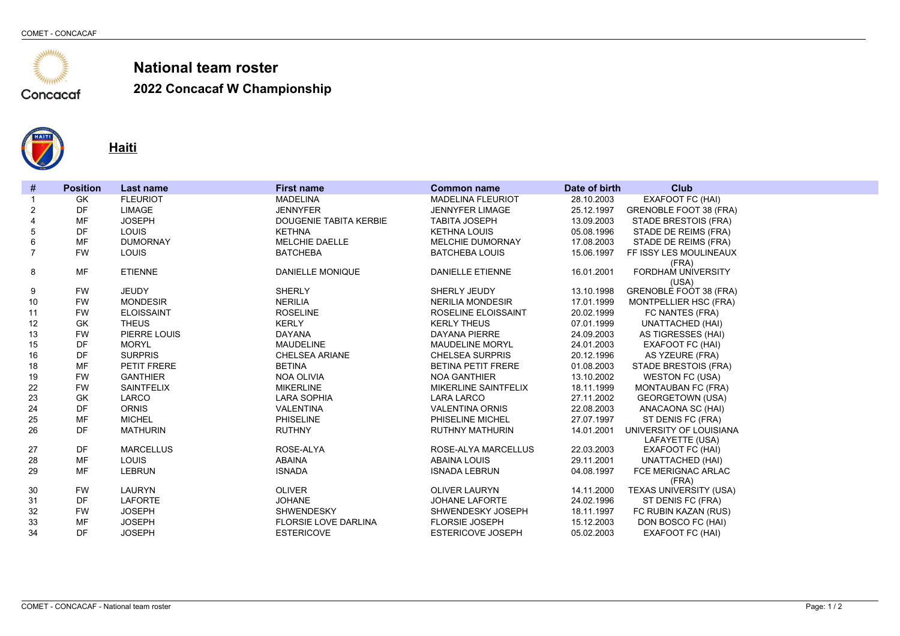

**2022 Concacaf W Championship**



**Haiti**

| #              | <b>Position</b> | <b>Last name</b>  | <b>First name</b>             | <b>Common name</b>        | Date of birth | <b>Club</b>                                |
|----------------|-----------------|-------------------|-------------------------------|---------------------------|---------------|--------------------------------------------|
|                | <b>GK</b>       | <b>FLEURIOT</b>   | <b>MADELINA</b>               | <b>MADELINA FLEURIOT</b>  | 28.10.2003    | <b>EXAFOOT FC (HAI)</b>                    |
| 2              | <b>DF</b>       | <b>LIMAGE</b>     | <b>JENNYFER</b>               | <b>JENNYFER LIMAGE</b>    | 25.12.1997    | <b>GRENOBLE FOOT 38 (FRA)</b>              |
| $\overline{4}$ | MF              | <b>JOSEPH</b>     | <b>DOUGENIE TABITA KERBIE</b> | <b>TABITA JOSEPH</b>      | 13.09.2003    | STADE BRESTOIS (FRA)                       |
| 5              | DF              | LOUIS             | <b>KETHNA</b>                 | <b>KETHNA LOUIS</b>       | 05.08.1996    | STADE DE REIMS (FRA)                       |
| 6              | <b>MF</b>       | <b>DUMORNAY</b>   | <b>MELCHIE DAELLE</b>         | <b>MELCHIE DUMORNAY</b>   | 17.08.2003    | STADE DE REIMS (FRA)                       |
| $\overline{7}$ | <b>FW</b>       | LOUIS             | <b>BATCHEBA</b>               | <b>BATCHEBA LOUIS</b>     | 15.06.1997    | FF ISSY LES MOULINEAUX<br>(FRA)            |
| 8              | <b>MF</b>       | <b>ETIENNE</b>    | <b>DANIELLE MONIQUE</b>       | <b>DANIELLE ETIENNE</b>   | 16.01.2001    | <b>FORDHAM UNIVERSITY</b><br>(USA)         |
| 9              | <b>FW</b>       | <b>JEUDY</b>      | <b>SHERLY</b>                 | SHERLY JEUDY              | 13.10.1998    | <b>GRENOBLE FOOT 38 (FRA)</b>              |
| 10             | <b>FW</b>       | <b>MONDESIR</b>   | <b>NERILIA</b>                | <b>NERILIA MONDESIR</b>   | 17.01.1999    | <b>MONTPELLIER HSC (FRA)</b>               |
| 11             | <b>FW</b>       | <b>ELOISSAINT</b> | <b>ROSELINE</b>               | ROSELINE ELOISSAINT       | 20.02.1999    | FC NANTES (FRA)                            |
| 12             | <b>GK</b>       | <b>THEUS</b>      | <b>KERLY</b>                  | <b>KERLY THEUS</b>        | 07.01.1999    | <b>UNATTACHED (HAI)</b>                    |
| 13             | <b>FW</b>       | PIERRE LOUIS      | <b>DAYANA</b>                 | <b>DAYANA PIERRE</b>      | 24.09.2003    | AS TIGRESSES (HAI)                         |
| 15             | DF              | <b>MORYL</b>      | <b>MAUDELINE</b>              | <b>MAUDELINE MORYL</b>    | 24.01.2003    | EXAFOOT FC (HAI)                           |
| 16             | DF              | <b>SURPRIS</b>    | <b>CHELSEA ARIANE</b>         | <b>CHELSEA SURPRIS</b>    | 20.12.1996    | AS YZEURE (FRA)                            |
| 18             | <b>MF</b>       | PETIT FRERE       | <b>BETINA</b>                 | <b>BETINA PETIT FRERE</b> | 01.08.2003    | <b>STADE BRESTOIS (FRA)</b>                |
| 19             | <b>FW</b>       | <b>GANTHIER</b>   | <b>NOA OLIVIA</b>             | <b>NOA GANTHIER</b>       | 13.10.2002    | <b>WESTON FC (USA)</b>                     |
| 22             | <b>FW</b>       | <b>SAINTFELIX</b> | <b>MIKERLINE</b>              | MIKERLINE SAINTFELIX      | 18.11.1999    | <b>MONTAUBAN FC (FRA)</b>                  |
| 23             | <b>GK</b>       | LARCO             | <b>LARA SOPHIA</b>            | <b>LARA LARCO</b>         | 27.11.2002    | <b>GEORGETOWN (USA)</b>                    |
| 24             | DF              | <b>ORNIS</b>      | <b>VALENTINA</b>              | <b>VALENTINA ORNIS</b>    | 22.08.2003    | ANACAONA SC (HAI)                          |
| 25             | <b>MF</b>       | <b>MICHEL</b>     | <b>PHISELINE</b>              | PHISELINE MICHEL          | 27.07.1997    | ST DENIS FC (FRA)                          |
| 26             | <b>DF</b>       | <b>MATHURIN</b>   | <b>RUTHNY</b>                 | <b>RUTHNY MATHURIN</b>    | 14.01.2001    | UNIVERSITY OF LOUISIANA<br>LAFAYETTE (USA) |
| 27             | <b>DF</b>       | <b>MARCELLUS</b>  | ROSE-ALYA                     | ROSE-ALYA MARCELLUS       | 22.03.2003    | EXAFOOT FC (HAI)                           |
| 28             | <b>MF</b>       | <b>LOUIS</b>      | <b>ABAINA</b>                 | <b>ABAINA LOUIS</b>       | 29.11.2001    | <b>UNATTACHED (HAI)</b>                    |
| 29             | <b>MF</b>       | <b>LEBRUN</b>     | <b>ISNADA</b>                 | <b>ISNADA LEBRUN</b>      | 04.08.1997    | FCE MERIGNAC ARLAC<br>(FRA)                |
| 30             | <b>FW</b>       | <b>LAURYN</b>     | <b>OLIVER</b>                 | <b>OLIVER LAURYN</b>      | 14.11.2000    | <b>TEXAS UNIVERSITY (USA)</b>              |
| 31             | DF              | LAFORTE           | <b>JOHANE</b>                 | JOHANE LAFORTE            | 24.02.1996    | ST DENIS FC (FRA)                          |
| 32             | <b>FW</b>       | <b>JOSEPH</b>     | <b>SHWENDESKY</b>             | SHWENDESKY JOSEPH         | 18.11.1997    | FC RUBIN KAZAN (RUS)                       |
| 33             | MF              | <b>JOSEPH</b>     | <b>FLORSIE LOVE DARLINA</b>   | <b>FLORSIE JOSEPH</b>     | 15.12.2003    | DON BOSCO FC (HAI)                         |
| 34             | <b>DF</b>       | <b>JOSEPH</b>     | <b>ESTERICOVE</b>             | <b>ESTERICOVE JOSEPH</b>  | 05.02.2003    | <b>EXAFOOT FC (HAI)</b>                    |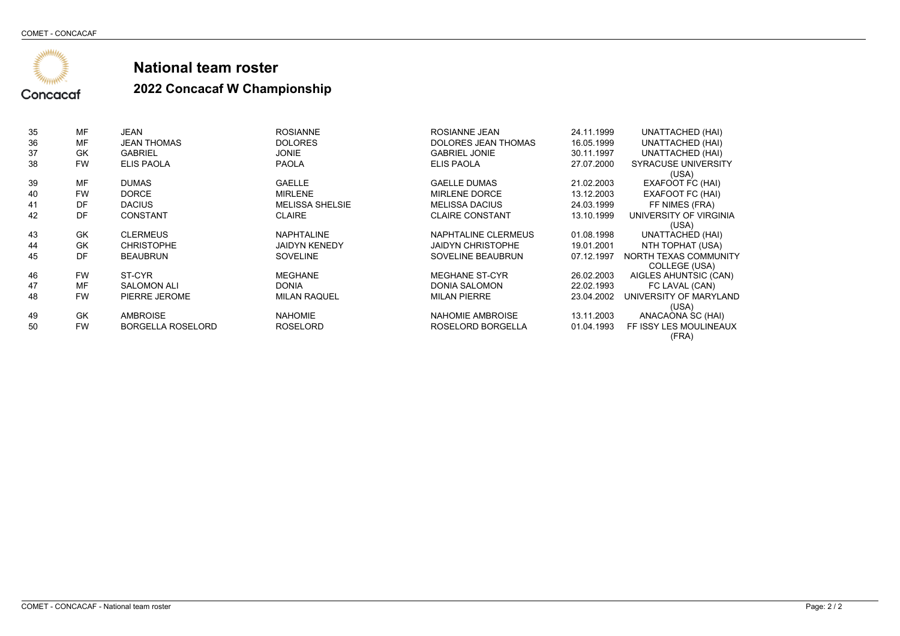

| 35 | MF        | JEAN                     | <b>ROSIANNE</b>        | ROSIANNE JEAN            | 24.11.1999 | UNATTACHED (HAI)                |
|----|-----------|--------------------------|------------------------|--------------------------|------------|---------------------------------|
| 36 | MF        | <b>JEAN THOMAS</b>       | <b>DOLORES</b>         | DOLORES JEAN THOMAS      | 16.05.1999 | <b>UNATTACHED (HAI)</b>         |
| 37 | GK        | <b>GABRIEL</b>           | <b>JONIE</b>           | <b>GABRIEL JONIE</b>     | 30.11.1997 | <b>UNATTACHED (HAI)</b>         |
| 38 | <b>FW</b> | <b>ELIS PAOLA</b>        | <b>PAOLA</b>           | <b>ELIS PAOLA</b>        | 27.07.2000 | <b>SYRACUSE UNIVERSITY</b>      |
|    |           |                          |                        |                          |            | (USA)                           |
| 39 | MF        | <b>DUMAS</b>             | <b>GAELLE</b>          | <b>GAELLE DUMAS</b>      | 21.02.2003 | EXAFOOT FC (HAI)                |
| 40 | <b>FW</b> | <b>DORCE</b>             | <b>MIRLENE</b>         | <b>MIRLENE DORCE</b>     | 13.12.2003 | EXAFOOT FC (HAI)                |
| 41 | DF        | <b>DACIUS</b>            | <b>MELISSA SHELSIE</b> | <b>MELISSA DACIUS</b>    | 24.03.1999 | FF NIMES (FRA)                  |
| 42 | DF        | <b>CONSTANT</b>          | <b>CLAIRE</b>          | <b>CLAIRE CONSTANT</b>   | 13.10.1999 | UNIVERSITY OF VIRGINIA          |
|    |           |                          |                        |                          |            | (USA)                           |
| 43 | <b>GK</b> | <b>CLERMEUS</b>          | <b>NAPHTALINE</b>      | NAPHTALINE CLERMEUS      | 01.08.1998 | UNATTACHED (HAI)                |
| 44 | GK        | <b>CHRISTOPHE</b>        | <b>JAIDYN KENEDY</b>   | <b>JAIDYN CHRISTOPHE</b> | 19.01.2001 | NTH TOPHAT (USA)                |
| 45 | DE        | <b>BEAUBRUN</b>          | <b>SOVELINE</b>        | SOVELINE BEAUBRUN        | 07.12.1997 | NORTH TEXAS COMMUNITY           |
|    |           |                          |                        |                          |            | <b>COLLEGE (USA)</b>            |
| 46 | <b>FW</b> | ST-CYR                   | <b>MEGHANE</b>         | <b>MEGHANE ST-CYR</b>    | 26.02.2003 | AIGLES AHUNTSIC (CAN)           |
| 47 | MF        | <b>SALOMON ALI</b>       | <b>DONIA</b>           | DONIA SALOMON            | 22.02.1993 | FC LAVAL (CAN)                  |
| 48 | <b>FW</b> | PIERRE JEROME            | <b>MILAN RAQUEL</b>    | <b>MILAN PIERRE</b>      | 23.04.2002 | UNIVERSITY OF MARYLAND          |
|    |           |                          |                        |                          |            | (USA)                           |
| 49 | GK        | <b>AMBROISE</b>          | <b>NAHOMIE</b>         | NAHOMIE AMBROISE         | 13.11.2003 | ANACAONA SC (HAI)               |
| 50 | <b>FW</b> | <b>BORGELLA ROSELORD</b> | <b>ROSELORD</b>        | ROSELORD BORGELLA        | 01.04.1993 | FF ISSY LES MOULINEAUX<br>(FRA) |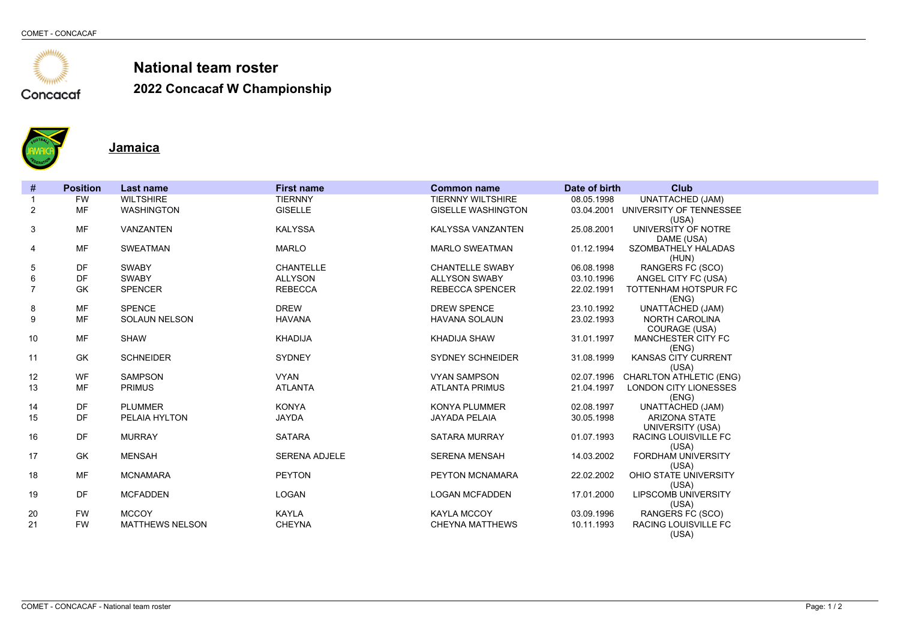

**2022 Concacaf W Championship**



**Jamaica**

| $\#$           | <b>Position</b> | <b>Last name</b>       | <b>First name</b>    | <b>Common name</b>        | Date of birth | <b>Club</b>                            |
|----------------|-----------------|------------------------|----------------------|---------------------------|---------------|----------------------------------------|
|                | <b>FW</b>       | <b>WILTSHIRE</b>       | <b>TIERNNY</b>       | <b>TIERNNY WILTSHIRE</b>  | 08.05.1998    | <b>UNATTACHED (JAM)</b>                |
| 2              | <b>MF</b>       | <b>WASHINGTON</b>      | <b>GISELLE</b>       | <b>GISELLE WASHINGTON</b> |               | 03.04.2001 UNIVERSITY OF TENNESSEE     |
|                |                 |                        |                      |                           |               | (USA)                                  |
| 3              | MF              | VANZANTEN              | <b>KALYSSA</b>       | KALYSSA VANZANTEN         | 25.08.2001    | UNIVERSITY OF NOTRE<br>DAME (USA)      |
| 4              | <b>MF</b>       | <b>SWEATMAN</b>        | <b>MARLO</b>         | <b>MARLO SWEATMAN</b>     | 01.12.1994    | SZOMBATHELY HALADAS                    |
|                |                 |                        |                      |                           |               | (HUN)                                  |
| 5              | DF              | <b>SWABY</b>           | <b>CHANTELLE</b>     | <b>CHANTELLE SWABY</b>    | 06.08.1998    | RANGERS FC (SCO)                       |
| 6              | DF              | <b>SWABY</b>           | <b>ALLYSON</b>       | <b>ALLYSON SWABY</b>      | 03.10.1996    | ANGEL CITY FC (USA)                    |
| $\overline{7}$ | GK              | <b>SPENCER</b>         | <b>REBECCA</b>       | REBECCA SPENCER           | 22.02.1991    | TOTTENHAM HOTSPUR FC                   |
|                |                 |                        |                      |                           |               | (ENG)                                  |
| 8              | <b>MF</b>       | <b>SPENCE</b>          | <b>DREW</b>          | <b>DREW SPENCE</b>        | 23.10.1992    | <b>UNATTACHED (JAM)</b>                |
| 9              | <b>MF</b>       | <b>SOLAUN NELSON</b>   | <b>HAVANA</b>        | <b>HAVANA SOLAUN</b>      | 23.02.1993    | <b>NORTH CAROLINA</b><br>COURAGE (USA) |
| 10             | <b>MF</b>       | <b>SHAW</b>            | <b>KHADIJA</b>       | <b>KHADIJA SHAW</b>       | 31.01.1997    | MANCHESTER CITY FC                     |
|                |                 |                        |                      |                           |               | (ENG)                                  |
| 11             | <b>GK</b>       | <b>SCHNEIDER</b>       | <b>SYDNEY</b>        | <b>SYDNEY SCHNEIDER</b>   | 31.08.1999    | KANSAS CITY CURRENT                    |
|                |                 |                        |                      |                           |               | (USA)                                  |
| 12             | <b>WF</b>       | <b>SAMPSON</b>         | <b>VYAN</b>          | <b>VYAN SAMPSON</b>       | 02.07.1996    | <b>CHARLTON ATHLETIC (ENG)</b>         |
| 13             | <b>MF</b>       | <b>PRIMUS</b>          | <b>ATLANTA</b>       | <b>ATLANTA PRIMUS</b>     | 21.04.1997    | <b>LONDON CITY LIONESSES</b>           |
| 14             | DF              | <b>PLUMMER</b>         | <b>KONYA</b>         | <b>KONYA PLUMMER</b>      | 02.08.1997    | (ENG)<br><b>UNATTACHED (JAM)</b>       |
| 15             | DF              | PELAIA HYLTON          | <b>JAYDA</b>         | <b>JAYADA PELAIA</b>      | 30.05.1998    | <b>ARIZONA STATE</b>                   |
|                |                 |                        |                      |                           |               | UNIVERSITY (USA)                       |
| 16             | DF              | <b>MURRAY</b>          | <b>SATARA</b>        | <b>SATARA MURRAY</b>      | 01.07.1993    | <b>RACING LOUISVILLE FC</b>            |
|                |                 |                        |                      |                           |               | (USA)                                  |
| 17             | <b>GK</b>       | <b>MENSAH</b>          | <b>SERENA ADJELE</b> | <b>SERENA MENSAH</b>      | 14.03.2002    | <b>FORDHAM UNIVERSITY</b>              |
| 18             | <b>MF</b>       | <b>MCNAMARA</b>        | <b>PEYTON</b>        | PEYTON MCNAMARA           | 22.02.2002    | (USA)<br>OHIO STATE UNIVERSITY         |
|                |                 |                        |                      |                           |               | (USA)                                  |
| 19             | DF              | <b>MCFADDEN</b>        | LOGAN                | <b>LOGAN MCFADDEN</b>     | 17.01.2000    | <b>LIPSCOMB UNIVERSITY</b>             |
|                |                 |                        |                      |                           |               | (USA)                                  |
| 20             | <b>FW</b>       | <b>MCCOY</b>           | KAYLA                | KAYLA MCCOY               | 03.09.1996    | RANGERS FC (SCO)                       |
| 21             | <b>FW</b>       | <b>MATTHEWS NELSON</b> | <b>CHEYNA</b>        | <b>CHEYNA MATTHEWS</b>    | 10.11.1993    | RACING LOUISVILLE FC                   |
|                |                 |                        |                      |                           |               | (USA)                                  |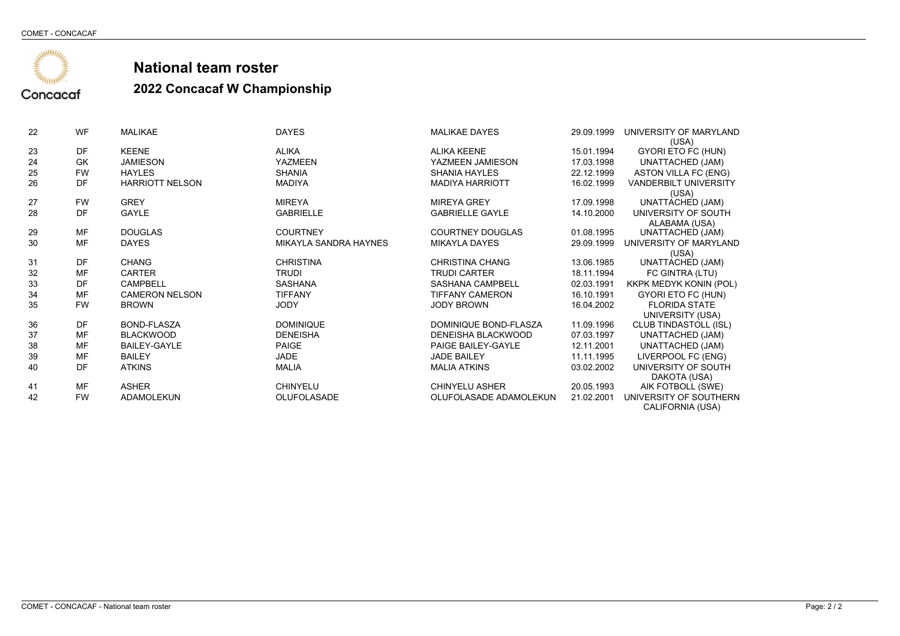

| 22 | <b>WF</b> | <b>MALIKAE</b>         | <b>DAYES</b>          | <b>MALIKAE DAYES</b>    | 29.09.1999 | UNIVERSITY OF MARYLAND<br>(USA) |
|----|-----------|------------------------|-----------------------|-------------------------|------------|---------------------------------|
| 23 | DF        | <b>KEENE</b>           | <b>ALIKA</b>          | <b>ALIKA KEENE</b>      | 15.01.1994 | GYORI ETO FC (HUN)              |
| 24 | GK        | <b>JAMIESON</b>        | <b>YAZMEEN</b>        | YAZMEEN JAMIESON        | 17.03.1998 | <b>UNATTACHED (JAM)</b>         |
| 25 | <b>FW</b> | <b>HAYLES</b>          | <b>SHANIA</b>         | <b>SHANIA HAYLES</b>    | 22.12.1999 | ASTON VILLA FC (ENG)            |
| 26 | DF        | <b>HARRIOTT NELSON</b> | <b>MADIYA</b>         | <b>MADIYA HARRIOTT</b>  | 16.02.1999 | <b>VANDERBILT UNIVERSITY</b>    |
|    |           |                        |                       |                         |            | (USA)                           |
| 27 | <b>FW</b> | <b>GREY</b>            | <b>MIREYA</b>         | <b>MIREYA GREY</b>      | 17.09.1998 | <b>UNATTACHED (JAM)</b>         |
| 28 | DF        | GAYLE                  | <b>GABRIELLE</b>      | <b>GABRIELLE GAYLE</b>  | 14.10.2000 | UNIVERSITY OF SOUTH             |
|    |           |                        |                       |                         |            | ALABAMA (USA)                   |
| 29 | MF        | <b>DOUGLAS</b>         | <b>COURTNEY</b>       | <b>COURTNEY DOUGLAS</b> | 01.08.1995 | UNATTACHED (JAM)                |
| 30 | MF        | <b>DAYES</b>           | MIKAYLA SANDRA HAYNES | <b>MIKAYLA DAYES</b>    | 29.09.1999 | UNIVERSITY OF MARYLAND          |
|    |           |                        |                       |                         |            | (USA)                           |
| 31 | DF        | <b>CHANG</b>           | <b>CHRISTINA</b>      | CHRISTINA CHANG         | 13.06.1985 | <b>UNATTACHED (JAM)</b>         |
| 32 | MF        | <b>CARTER</b>          | <b>TRUDI</b>          | <b>TRUDI CARTER</b>     | 18.11.1994 | FC GINTRA (LTU)                 |
| 33 | DF        | <b>CAMPBELL</b>        | <b>SASHANA</b>        | <b>SASHANA CAMPBELL</b> | 02.03.1991 | <b>KKPK MEDYK KONIN (POL)</b>   |
| 34 | MF        | <b>CAMERON NELSON</b>  | <b>TIFFANY</b>        | <b>TIFFANY CAMERON</b>  | 16.10.1991 | GYORI ETO FC (HUN)              |
| 35 | <b>FW</b> | <b>BROWN</b>           | <b>JODY</b>           | <b>JODY BROWN</b>       | 16.04.2002 | <b>FLORIDA STATE</b>            |
|    |           |                        |                       |                         |            | UNIVERSITY (USA)                |
| 36 | DF        | BOND-FLASZA            | <b>DOMINIQUE</b>      | DOMINIQUE BOND-FLASZA   | 11.09.1996 | <b>CLUB TINDASTOLL (ISL)</b>    |
| 37 | MF        | <b>BLACKWOOD</b>       | <b>DENEISHA</b>       | DENEISHA BLACKWOOD      | 07.03.1997 | UNATTACHED (JAM)                |
| 38 | MF        | <b>BAILEY-GAYLE</b>    | PAIGE                 | PAIGE BAILEY-GAYLE      | 12.11.2001 | <b>UNATTACHED (JAM)</b>         |
| 39 | MF        | <b>BAILEY</b>          | <b>JADE</b>           | <b>JADE BAILEY</b>      | 11.11.1995 | LIVERPOOL FC (ENG)              |
| 40 | DF        | <b>ATKINS</b>          | <b>MALIA</b>          | <b>MALIA ATKINS</b>     | 03.02.2002 | UNIVERSITY OF SOUTH             |
|    |           |                        |                       |                         |            | DAKOTA (USA)                    |
| 41 | MF        | <b>ASHER</b>           | <b>CHINYELU</b>       | <b>CHINYELU ASHER</b>   | 20.05.1993 | AIK FOTBOLL (SWE)               |
| 42 | <b>FW</b> | <b>ADAMOLEKUN</b>      | <b>OLUFOLASADE</b>    | OLUFOLASADE ADAMOLEKUN  | 21.02.2001 | UNIVERSITY OF SOUTHERN          |
|    |           |                        |                       |                         |            | CALIFORNIA (USA)                |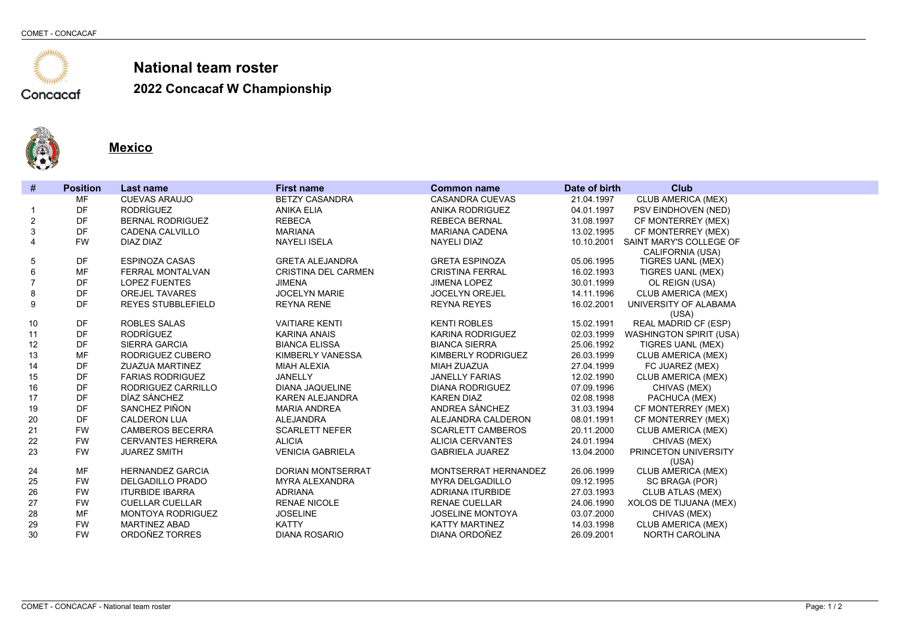

**2022 Concacaf W Championship**



**Mexico**

| #              | <b>Position</b> | <b>Last name</b>          | <b>First name</b>          | <b>Common name</b>       | Date of birth | <b>Club</b>                                  |
|----------------|-----------------|---------------------------|----------------------------|--------------------------|---------------|----------------------------------------------|
|                | MF              | <b>CUEVAS ARAUJO</b>      | <b>BETZY CASANDRA</b>      | <b>CASANDRA CUEVAS</b>   | 21.04.1997    | CLUB AMERICA (MEX)                           |
| -1             | DF              | <b>RODRÍGUEZ</b>          | <b>ANIKA ELIA</b>          | <b>ANIKA RODRIGUEZ</b>   | 04.01.1997    | PSV EINDHOVEN (NED)                          |
| 2              | DF              | <b>BERNAL RODRIGUEZ</b>   | <b>REBECA</b>              | <b>REBECA BERNAL</b>     | 31.08.1997    | CF MONTERREY (MEX)                           |
| 3              | DF              | CADENA CALVILLO           | <b>MARIANA</b>             | <b>MARIANA CADENA</b>    | 13.02.1995    | CF MONTERREY (MEX)                           |
| 4              | <b>FW</b>       | DIAZ DIAZ                 | <b>NAYELI ISELA</b>        | <b>NAYELI DIAZ</b>       | 10.10.2001    | SAINT MARY'S COLLEGE OF                      |
| 5              | DF              | <b>ESPINOZA CASAS</b>     | <b>GRETA ALEJANDRA</b>     | <b>GRETA ESPINOZA</b>    | 05.06.1995    | CALIFORNIA (USA)<br><b>TIGRES UANL (MEX)</b> |
| 6              | <b>MF</b>       | <b>FERRAL MONTALVAN</b>   | <b>CRISTINA DEL CARMEN</b> | <b>CRISTINA FERRAL</b>   | 16.02.1993    | TIGRES UANL (MEX)                            |
| $\overline{7}$ | DF              | <b>LOPEZ FUENTES</b>      | <b>JIMENA</b>              | <b>JIMENA LOPEZ</b>      | 30.01.1999    | OL REIGN (USA)                               |
| 8              | DF              | <b>OREJEL TAVARES</b>     | <b>JOCELYN MARIE</b>       | <b>JOCELYN OREJEL</b>    | 14.11.1996    | <b>CLUB AMERICA (MEX)</b>                    |
| 9              | DF              | <b>REYES STUBBLEFIELD</b> | <b>REYNA RENE</b>          | <b>REYNA REYES</b>       | 16.02.2001    | UNIVERSITY OF ALABAMA                        |
|                |                 |                           |                            |                          |               | (USA)                                        |
| 10             | DF              | <b>ROBLES SALAS</b>       | <b>VAITIARE KENTI</b>      | <b>KENTI ROBLES</b>      | 15.02.1991    | <b>REAL MADRID CF (ESP)</b>                  |
| 11             | DF              | <b>RODRÍGUEZ</b>          | <b>KARINA ANAIS</b>        | <b>KARINA RODRIGUEZ</b>  | 02.03.1999    | <b>WASHINGTON SPIRIT (USA)</b>               |
| 12             | DF              | <b>SIERRA GARCIA</b>      | <b>BIANCA ELISSA</b>       | <b>BIANCA SIERRA</b>     | 25.06.1992    | TIGRES UANL (MEX)                            |
| 13             | MF              | RODRIGUEZ CUBERO          | <b>KIMBERLY VANESSA</b>    | KIMBERLY RODRIGUEZ       | 26.03.1999    | <b>CLUB AMERICA (MEX)</b>                    |
| 14             | DF              | <b>ZUAZUA MARTINEZ</b>    | <b>MIAH ALEXIA</b>         | <b>MIAH ZUAZUA</b>       | 27.04.1999    | FC JUAREZ (MEX)                              |
| 15             | DF              | <b>FARIAS RODRIGUEZ</b>   | JANELLY                    | <b>JANELLY FARIAS</b>    | 12.02.1990    | CLUB AMERICA (MEX)                           |
| 16             | DF              | RODRIGUEZ CARRILLO        | <b>DIANA JAQUELINE</b>     | <b>DIANA RODRIGUEZ</b>   | 07.09.1996    | CHIVAS (MEX)                                 |
| 17             | DF              | DÍAZ SÁNCHEZ              | <b>KAREN ALEJANDRA</b>     | <b>KAREN DIAZ</b>        | 02.08.1998    | PACHUCA (MEX)                                |
| 19             | DF              | SANCHEZ PIÑON             | <b>MARIA ANDREA</b>        | ANDREA SÁNCHEZ           | 31.03.1994    | CF MONTERREY (MEX)                           |
| 20             | DF              | <b>CALDERON LUA</b>       | <b>ALEJANDRA</b>           | ALEJANDRA CALDERON       | 08.01.1991    | CF MONTERREY (MEX)                           |
| 21             | <b>FW</b>       | <b>CAMBEROS BECERRA</b>   | <b>SCARLETT NEFER</b>      | <b>SCARLETT CAMBEROS</b> | 20.11.2000    | <b>CLUB AMERICA (MEX)</b>                    |
| 22             | <b>FW</b>       | <b>CERVANTES HERRERA</b>  | <b>ALICIA</b>              | <b>ALICIA CERVANTES</b>  | 24.01.1994    | CHIVAS (MEX)                                 |
| 23             | <b>FW</b>       | <b>JUAREZ SMITH</b>       | <b>VENICIA GABRIELA</b>    | <b>GABRIELA JUAREZ</b>   | 13.04.2000    | PRINCETON UNIVERSITY<br>(USA)                |
| 24             | <b>MF</b>       | <b>HERNANDEZ GARCIA</b>   | <b>DORIAN MONTSERRAT</b>   | MONTSERRAT HERNANDEZ     | 26.06.1999    | <b>CLUB AMERICA (MEX)</b>                    |
| 25             | <b>FW</b>       | <b>DELGADILLO PRADO</b>   | <b>MYRA ALEXANDRA</b>      | <b>MYRA DELGADILLO</b>   | 09.12.1995    | SC BRAGA (POR)                               |
| 26             | <b>FW</b>       | <b>ITURBIDE IBARRA</b>    | <b>ADRIANA</b>             | ADRIANA ITURBIDE         | 27.03.1993    | <b>CLUB ATLAS (MEX)</b>                      |
| 27             | <b>FW</b>       | <b>CUELLAR CUELLAR</b>    | RENAE NICOLE               | <b>RENAE CUELLAR</b>     | 24.06.1990    | XOLOS DE TIJUANA (MEX)                       |
| 28             | <b>MF</b>       | <b>MONTOYA RODRIGUEZ</b>  | <b>JOSELINE</b>            | <b>JOSELINE MONTOYA</b>  | 03.07.2000    | CHIVAS (MEX)                                 |
| 29             | <b>FW</b>       | <b>MARTINEZ ABAD</b>      | <b>KATTY</b>               | <b>KATTY MARTINEZ</b>    | 14.03.1998    | CLUB AMERICA (MEX)                           |
| 30             | <b>FW</b>       | ORDOÑEZ TORRES            | <b>DIANA ROSARIO</b>       | DIANA ORDOÑEZ            | 26.09.2001    | <b>NORTH CAROLINA</b>                        |
|                |                 |                           |                            |                          |               |                                              |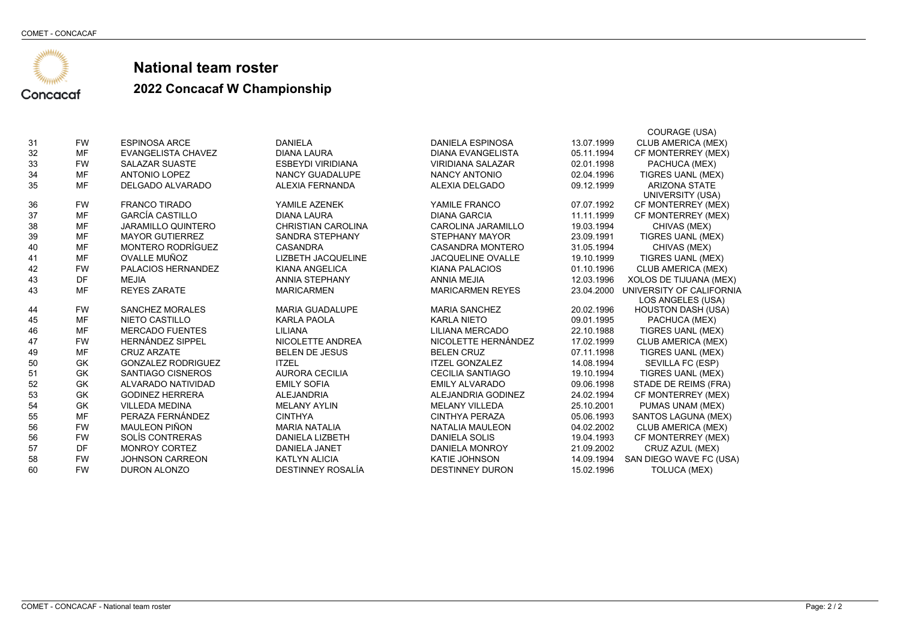

|    |           |                           |                           |                           |            | COURAGE (USA)             |
|----|-----------|---------------------------|---------------------------|---------------------------|------------|---------------------------|
| 31 | <b>FW</b> | <b>ESPINOSA ARCE</b>      | <b>DANIELA</b>            | <b>DANIELA ESPINOSA</b>   | 13.07.1999 | CLUB AMERICA (MEX)        |
| 32 | <b>MF</b> | <b>EVANGELISTA CHAVEZ</b> | <b>DIANA LAURA</b>        | <b>DIANA EVANGELISTA</b>  | 05.11.1994 | CF MONTERREY (MEX)        |
| 33 | <b>FW</b> | <b>SALAZAR SUASTE</b>     | <b>ESBEYDI VIRIDIANA</b>  | <b>VIRIDIANA SALAZAR</b>  | 02.01.1998 | PACHUCA (MEX)             |
| 34 | <b>MF</b> | <b>ANTONIO LOPEZ</b>      | <b>NANCY GUADALUPE</b>    | <b>NANCY ANTONIO</b>      | 02.04.1996 | <b>TIGRES UANL (MEX)</b>  |
| 35 | <b>MF</b> | <b>DELGADO ALVARADO</b>   | ALEXIA FERNANDA           | ALEXIA DELGADO            | 09.12.1999 | <b>ARIZONA STATE</b>      |
|    |           |                           |                           |                           |            | <b>UNIVERSITY (USA)</b>   |
| 36 | <b>FW</b> | <b>FRANCO TIRADO</b>      | YAMILE AZENEK             | YAMILE FRANCO             | 07.07.1992 | CF MONTERREY (MEX)        |
| 37 | <b>MF</b> | <b>GARCÍA CASTILLO</b>    | <b>DIANA LAURA</b>        | <b>DIANA GARCIA</b>       | 11.11.1999 | CF MONTERREY (MEX)        |
| 38 | <b>MF</b> | <b>JARAMILLO QUINTERO</b> | <b>CHRISTIAN CAROLINA</b> | <b>CAROLINA JARAMILLO</b> | 19.03.1994 | CHIVAS (MEX)              |
| 39 | <b>MF</b> | <b>MAYOR GUTIERREZ</b>    | <b>SANDRA STEPHANY</b>    | <b>STEPHANY MAYOR</b>     | 23.09.1991 | TIGRES UANL (MEX)         |
| 40 | <b>MF</b> | <b>MONTERO RODRÍGUEZ</b>  | <b>CASANDRA</b>           | <b>CASANDRA MONTERO</b>   | 31.05.1994 | CHIVAS (MEX)              |
| 41 | <b>MF</b> | OVALLE MUÑOZ              | <b>LIZBETH JACQUELINE</b> | <b>JACQUELINE OVALLE</b>  | 19.10.1999 | TIGRES UANL (MEX)         |
| 42 | <b>FW</b> | PALACIOS HERNANDEZ        | <b>KIANA ANGELICA</b>     | <b>KIANA PALACIOS</b>     | 01.10.1996 | CLUB AMERICA (MEX)        |
| 43 | DF        | <b>MEJIA</b>              | <b>ANNIA STEPHANY</b>     | <b>ANNIA MEJIA</b>        | 12.03.1996 | XOLOS DE TIJUANA (MEX)    |
| 43 | <b>MF</b> | <b>REYES ZARATE</b>       | <b>MARICARMEN</b>         | <b>MARICARMEN REYES</b>   | 23.04.2000 | UNIVERSITY OF CALIFORNIA  |
|    |           |                           |                           |                           |            | LOS ANGELES (USA)         |
| 44 | <b>FW</b> | <b>SANCHEZ MORALES</b>    | <b>MARIA GUADALUPE</b>    | <b>MARIA SANCHEZ</b>      | 20.02.1996 | <b>HOUSTON DASH (USA)</b> |
| 45 | <b>MF</b> | <b>NIETO CASTILLO</b>     | <b>KARLA PAOLA</b>        | <b>KARLA NIETO</b>        | 09.01.1995 | PACHUCA (MEX)             |
| 46 | <b>MF</b> | <b>MERCADO FUENTES</b>    | LILIANA                   | LILIANA MERCADO           | 22.10.1988 | <b>TIGRES UANL (MEX)</b>  |
| 47 | <b>FW</b> | <b>HERNÁNDEZ SIPPEL</b>   | NICOLETTE ANDREA          | NICOLETTE HERNÁNDEZ       | 17.02.1999 | <b>CLUB AMERICA (MEX)</b> |
| 49 | MF        | <b>CRUZ ARZATE</b>        | <b>BELEN DE JESUS</b>     | <b>BELEN CRUZ</b>         | 07.11.1998 | TIGRES UANL (MEX)         |
| 50 | <b>GK</b> | <b>GONZALEZ RODRIGUEZ</b> | <b>ITZEL</b>              | <b>ITZEL GONZALEZ</b>     | 14.08.1994 | SEVILLA FC (ESP)          |
| 51 | <b>GK</b> | SANTIAGO CISNEROS         | <b>AURORA CECILIA</b>     | <b>CECILIA SANTIAGO</b>   | 19.10.1994 | TIGRES UANL (MEX)         |
| 52 | GK        | ALVARADO NATIVIDAD        | <b>EMILY SOFIA</b>        | <b>EMILY ALVARADO</b>     | 09.06.1998 | STADE DE REIMS (FRA)      |
| 53 | GK        | <b>GODINEZ HERRERA</b>    | <b>ALEJANDRIA</b>         | ALEJANDRIA GODINEZ        | 24.02.1994 | CF MONTERREY (MEX)        |
| 54 | GK        | <b>VILLEDA MEDINA</b>     | <b>MELANY AYLIN</b>       | <b>MELANY VILLEDA</b>     | 25.10.2001 | PUMAS UNAM (MEX)          |
| 55 | <b>MF</b> | PERAZA FERNÁNDEZ          | <b>CINTHYA</b>            | CINTHYA PERAZA            | 05.06.1993 | SANTOS LAGUNA (MEX)       |
| 56 | <b>FW</b> | <b>MAULEON PIÑON</b>      | <b>MARIA NATALIA</b>      | NATALIA MAULEON           | 04.02.2002 | <b>CLUB AMERICA (MEX)</b> |
| 56 | <b>FW</b> | SOLÍS CONTRERAS           | DANIELA LIZBETH           | <b>DANIELA SOLIS</b>      | 19.04.1993 | CF MONTERREY (MEX)        |
| 57 | DF        | <b>MONROY CORTEZ</b>      | <b>DANIELA JANET</b>      | DANIELA MONROY            | 21.09.2002 | CRUZ AZUL (MEX)           |
| 58 | <b>FW</b> | <b>JOHNSON CARREON</b>    | <b>KATLYN ALICIA</b>      | <b>KATIE JOHNSON</b>      | 14.09.1994 | SAN DIEGO WAVE FC (USA)   |
| 60 | <b>FW</b> | DURON ALONZO              | DESTINNEY ROSALÍA         | <b>DESTINNEY DURON</b>    | 15.02.1996 | TOLUCA (MEX)              |
|    |           |                           |                           |                           |            |                           |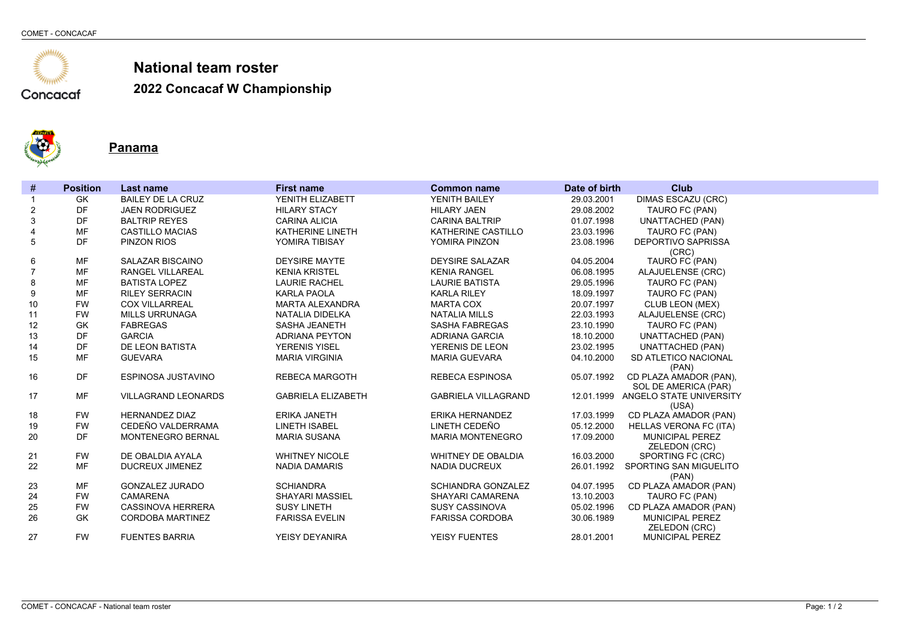

**2022 Concacaf W Championship**



**Panama**

| DIMAS ESCAZU (CRC)<br>GK<br><b>BAILEY DE LA CRUZ</b><br>YENITH ELIZABETT<br>YENITH BAILEY<br>29.03.2001<br>DF<br>29.08.2002<br>2<br><b>JAEN RODRIGUEZ</b><br><b>HILARY STACY</b><br><b>HILARY JAEN</b><br>TAURO FC (PAN)<br>3<br>DF<br><b>UNATTACHED (PAN)</b><br><b>BALTRIP REYES</b><br><b>CARINA ALICIA</b><br><b>CARINA BALTRIP</b><br>01.07.1998<br><b>MF</b><br>$\overline{4}$<br><b>CASTILLO MACIAS</b><br>KATHERINE LINETH<br>KATHERINE CASTILLO<br>23.03.1996<br>TAURO FC (PAN)<br>5<br>DF<br><b>DEPORTIVO SAPRISSA</b><br><b>PINZON RIOS</b><br>YOMIRA TIBISAY<br>YOMIRA PINZON<br>23.08.1996<br>(CRC)<br><b>MF</b><br>SALAZAR BISCAINO<br><b>DEYSIRE MAYTE</b><br><b>DEYSIRE SALAZAR</b><br>04.05.2004<br>TAURO FC (PAN)<br>6<br>$\overline{7}$<br><b>MF</b><br>ALAJUELENSE (CRC)<br>RANGEL VILLAREAL<br><b>KENIA KRISTEL</b><br><b>KENIA RANGEL</b><br>06.08.1995<br><b>MF</b><br>8<br><b>BATISTA LOPEZ</b><br><b>LAURIE RACHEL</b><br><b>LAURIE BATISTA</b><br>29.05.1996<br>TAURO FC (PAN)<br><b>MF</b><br>9<br><b>KARLA PAOLA</b><br>TAURO FC (PAN)<br><b>RILEY SERRACIN</b><br><b>KARLA RILEY</b><br>18.09.1997<br>10<br><b>FW</b><br><b>CLUB LEON (MEX)</b><br><b>COX VILLARREAL</b><br><b>MARTA ALEXANDRA</b><br><b>MARTA COX</b><br>20.07.1997<br>11<br><b>FW</b><br><b>NATALIA MILLS</b><br>ALAJUELENSE (CRC)<br><b>MILLS URRUNAGA</b><br>NATALIA DIDELKA<br>22.03.1993 |  |
|---------------------------------------------------------------------------------------------------------------------------------------------------------------------------------------------------------------------------------------------------------------------------------------------------------------------------------------------------------------------------------------------------------------------------------------------------------------------------------------------------------------------------------------------------------------------------------------------------------------------------------------------------------------------------------------------------------------------------------------------------------------------------------------------------------------------------------------------------------------------------------------------------------------------------------------------------------------------------------------------------------------------------------------------------------------------------------------------------------------------------------------------------------------------------------------------------------------------------------------------------------------------------------------------------------------------------------------------------------------------------------------------|--|
|                                                                                                                                                                                                                                                                                                                                                                                                                                                                                                                                                                                                                                                                                                                                                                                                                                                                                                                                                                                                                                                                                                                                                                                                                                                                                                                                                                                             |  |
|                                                                                                                                                                                                                                                                                                                                                                                                                                                                                                                                                                                                                                                                                                                                                                                                                                                                                                                                                                                                                                                                                                                                                                                                                                                                                                                                                                                             |  |
|                                                                                                                                                                                                                                                                                                                                                                                                                                                                                                                                                                                                                                                                                                                                                                                                                                                                                                                                                                                                                                                                                                                                                                                                                                                                                                                                                                                             |  |
|                                                                                                                                                                                                                                                                                                                                                                                                                                                                                                                                                                                                                                                                                                                                                                                                                                                                                                                                                                                                                                                                                                                                                                                                                                                                                                                                                                                             |  |
|                                                                                                                                                                                                                                                                                                                                                                                                                                                                                                                                                                                                                                                                                                                                                                                                                                                                                                                                                                                                                                                                                                                                                                                                                                                                                                                                                                                             |  |
|                                                                                                                                                                                                                                                                                                                                                                                                                                                                                                                                                                                                                                                                                                                                                                                                                                                                                                                                                                                                                                                                                                                                                                                                                                                                                                                                                                                             |  |
|                                                                                                                                                                                                                                                                                                                                                                                                                                                                                                                                                                                                                                                                                                                                                                                                                                                                                                                                                                                                                                                                                                                                                                                                                                                                                                                                                                                             |  |
|                                                                                                                                                                                                                                                                                                                                                                                                                                                                                                                                                                                                                                                                                                                                                                                                                                                                                                                                                                                                                                                                                                                                                                                                                                                                                                                                                                                             |  |
|                                                                                                                                                                                                                                                                                                                                                                                                                                                                                                                                                                                                                                                                                                                                                                                                                                                                                                                                                                                                                                                                                                                                                                                                                                                                                                                                                                                             |  |
|                                                                                                                                                                                                                                                                                                                                                                                                                                                                                                                                                                                                                                                                                                                                                                                                                                                                                                                                                                                                                                                                                                                                                                                                                                                                                                                                                                                             |  |
|                                                                                                                                                                                                                                                                                                                                                                                                                                                                                                                                                                                                                                                                                                                                                                                                                                                                                                                                                                                                                                                                                                                                                                                                                                                                                                                                                                                             |  |
|                                                                                                                                                                                                                                                                                                                                                                                                                                                                                                                                                                                                                                                                                                                                                                                                                                                                                                                                                                                                                                                                                                                                                                                                                                                                                                                                                                                             |  |
| 12<br>GK<br>23.10.1990<br>TAURO FC (PAN)<br><b>FABREGAS</b><br>SASHA JEANETH<br><b>SASHA FABREGAS</b>                                                                                                                                                                                                                                                                                                                                                                                                                                                                                                                                                                                                                                                                                                                                                                                                                                                                                                                                                                                                                                                                                                                                                                                                                                                                                       |  |
| DF<br>13<br><b>GARCIA</b><br>18.10.2000<br><b>UNATTACHED (PAN)</b><br><b>ADRIANA PEYTON</b><br>ADRIANA GARCIA                                                                                                                                                                                                                                                                                                                                                                                                                                                                                                                                                                                                                                                                                                                                                                                                                                                                                                                                                                                                                                                                                                                                                                                                                                                                               |  |
| DF<br>14<br>DE LEON BATISTA<br><b>UNATTACHED (PAN)</b><br><b>YERENIS YISEL</b><br>YERENIS DE LEON<br>23.02.1995                                                                                                                                                                                                                                                                                                                                                                                                                                                                                                                                                                                                                                                                                                                                                                                                                                                                                                                                                                                                                                                                                                                                                                                                                                                                             |  |
| 15<br><b>MF</b><br>SD ATLETICO NACIONAL<br><b>GUEVARA</b><br><b>MARIA VIRGINIA</b><br>04.10.2000<br><b>MARIA GUEVARA</b>                                                                                                                                                                                                                                                                                                                                                                                                                                                                                                                                                                                                                                                                                                                                                                                                                                                                                                                                                                                                                                                                                                                                                                                                                                                                    |  |
| (PAN)                                                                                                                                                                                                                                                                                                                                                                                                                                                                                                                                                                                                                                                                                                                                                                                                                                                                                                                                                                                                                                                                                                                                                                                                                                                                                                                                                                                       |  |
| DF<br>05.07.1992<br>CD PLAZA AMADOR (PAN),<br>ESPINOSA JUSTAVINO<br><b>REBECA MARGOTH</b><br><b>REBECA ESPINOSA</b><br>16                                                                                                                                                                                                                                                                                                                                                                                                                                                                                                                                                                                                                                                                                                                                                                                                                                                                                                                                                                                                                                                                                                                                                                                                                                                                   |  |
| SOL DE AMERICA (PAR)<br>17<br><b>MF</b><br><b>VILLAGRAND LEONARDS</b><br><b>GABRIELA ELIZABETH</b><br><b>GABRIELA VILLAGRAND</b><br>12.01.1999 ANGELO STATE UNIVERSITY                                                                                                                                                                                                                                                                                                                                                                                                                                                                                                                                                                                                                                                                                                                                                                                                                                                                                                                                                                                                                                                                                                                                                                                                                      |  |
| (USA)                                                                                                                                                                                                                                                                                                                                                                                                                                                                                                                                                                                                                                                                                                                                                                                                                                                                                                                                                                                                                                                                                                                                                                                                                                                                                                                                                                                       |  |
| <b>FW</b><br><b>HERNANDEZ DIAZ</b><br><b>ERIKA JANETH</b><br>ERIKA HERNANDEZ<br>17.03.1999<br>CD PLAZA AMADOR (PAN)<br>18                                                                                                                                                                                                                                                                                                                                                                                                                                                                                                                                                                                                                                                                                                                                                                                                                                                                                                                                                                                                                                                                                                                                                                                                                                                                   |  |
| <b>FW</b><br>CEDEÑO VALDERRAMA<br>LINETH CEDEÑO<br><b>HELLAS VERONA FC (ITA)</b><br>19<br><b>LINETH ISABEL</b><br>05.12.2000                                                                                                                                                                                                                                                                                                                                                                                                                                                                                                                                                                                                                                                                                                                                                                                                                                                                                                                                                                                                                                                                                                                                                                                                                                                                |  |
| DF<br><b>MUNICIPAL PEREZ</b><br>20<br><b>MONTENEGRO BERNAL</b><br><b>MARIA SUSANA</b><br><b>MARIA MONTENEGRO</b><br>17.09.2000                                                                                                                                                                                                                                                                                                                                                                                                                                                                                                                                                                                                                                                                                                                                                                                                                                                                                                                                                                                                                                                                                                                                                                                                                                                              |  |
| ZELEDON (CRC)                                                                                                                                                                                                                                                                                                                                                                                                                                                                                                                                                                                                                                                                                                                                                                                                                                                                                                                                                                                                                                                                                                                                                                                                                                                                                                                                                                               |  |
| <b>FW</b><br>DE OBALDIA AYALA<br><b>WHITNEY NICOLE</b><br>16.03.2000<br>21<br><b>WHITNEY DE OBALDIA</b><br>SPORTING FC (CRC)                                                                                                                                                                                                                                                                                                                                                                                                                                                                                                                                                                                                                                                                                                                                                                                                                                                                                                                                                                                                                                                                                                                                                                                                                                                                |  |
| <b>MF</b><br>22<br>DUCREUX JIMENEZ<br><b>NADIA DAMARIS</b><br><b>NADIA DUCREUX</b><br>26.01.1992<br>SPORTING SAN MIGUELITO                                                                                                                                                                                                                                                                                                                                                                                                                                                                                                                                                                                                                                                                                                                                                                                                                                                                                                                                                                                                                                                                                                                                                                                                                                                                  |  |
| (PAN)                                                                                                                                                                                                                                                                                                                                                                                                                                                                                                                                                                                                                                                                                                                                                                                                                                                                                                                                                                                                                                                                                                                                                                                                                                                                                                                                                                                       |  |
| <b>MF</b><br><b>GONZALEZ JURADO</b><br><b>SCHIANDRA</b><br><b>SCHIANDRA GONZALEZ</b><br>04.07.1995<br>CD PLAZA AMADOR (PAN)<br>23                                                                                                                                                                                                                                                                                                                                                                                                                                                                                                                                                                                                                                                                                                                                                                                                                                                                                                                                                                                                                                                                                                                                                                                                                                                           |  |
| <b>FW</b><br>24<br>CAMARENA<br><b>SHAYARI MASSIEL</b><br>SHAYARI CAMARENA<br>13.10.2003<br>TAURO FC (PAN)                                                                                                                                                                                                                                                                                                                                                                                                                                                                                                                                                                                                                                                                                                                                                                                                                                                                                                                                                                                                                                                                                                                                                                                                                                                                                   |  |
| 25<br><b>FW</b><br><b>CASSINOVA HERRERA</b><br><b>SUSY LINETH</b><br><b>SUSY CASSINOVA</b><br>05.02.1996<br>CD PLAZA AMADOR (PAN)                                                                                                                                                                                                                                                                                                                                                                                                                                                                                                                                                                                                                                                                                                                                                                                                                                                                                                                                                                                                                                                                                                                                                                                                                                                           |  |
| 26<br>GK<br>MUNICIPAL PEREZ<br><b>CORDOBA MARTINEZ</b><br><b>FARISSA EVELIN</b><br><b>FARISSA CORDOBA</b><br>30.06.1989                                                                                                                                                                                                                                                                                                                                                                                                                                                                                                                                                                                                                                                                                                                                                                                                                                                                                                                                                                                                                                                                                                                                                                                                                                                                     |  |
| <b>ZELEDON (CRC)</b>                                                                                                                                                                                                                                                                                                                                                                                                                                                                                                                                                                                                                                                                                                                                                                                                                                                                                                                                                                                                                                                                                                                                                                                                                                                                                                                                                                        |  |
| <b>FW</b><br>27<br><b>FUENTES BARRIA</b><br>YEISY DEYANIRA<br><b>YEISY FUENTES</b><br>28.01.2001<br><b>MUNICIPAL PEREZ</b>                                                                                                                                                                                                                                                                                                                                                                                                                                                                                                                                                                                                                                                                                                                                                                                                                                                                                                                                                                                                                                                                                                                                                                                                                                                                  |  |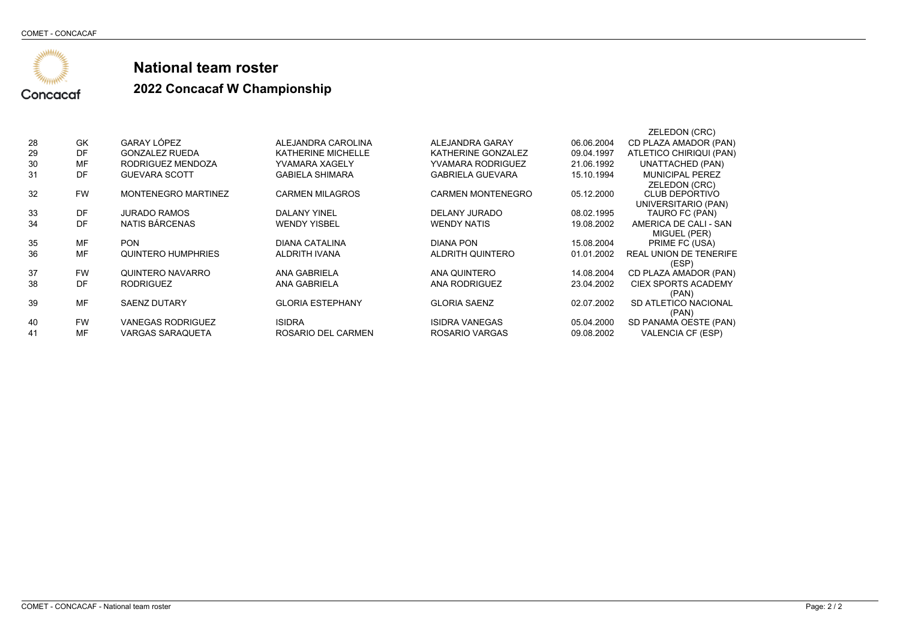

|    |           |                            |                           |                          |            | ZELEDON (CRC)                 |
|----|-----------|----------------------------|---------------------------|--------------------------|------------|-------------------------------|
| 28 | GK        | GARAY LÓPEZ                | ALEJANDRA CAROLINA        | ALEJANDRA GARAY          | 06.06.2004 | CD PLAZA AMADOR (PAN)         |
| 29 | DF        | <b>GONZALEZ RUEDA</b>      | <b>KATHERINE MICHELLE</b> | KATHERINE GONZALEZ       | 09.04.1997 | ATLETICO CHIRIQUI (PAN)       |
| 30 | MF        | RODRIGUEZ MENDOZA          | YVAMARA XAGELY            | <b>YVAMARA RODRIGUEZ</b> | 21.06.1992 | <b>UNATTACHED (PAN)</b>       |
| 31 | DF        | <b>GUEVARA SCOTT</b>       | <b>GABIELA SHIMARA</b>    | <b>GABRIELA GUEVARA</b>  | 15.10.1994 | <b>MUNICIPAL PEREZ</b>        |
|    |           |                            |                           |                          |            | ZELEDON (CRC)                 |
| 32 | <b>FW</b> | <b>MONTENEGRO MARTINEZ</b> | <b>CARMEN MILAGROS</b>    | <b>CARMEN MONTENEGRO</b> | 05.12.2000 | <b>CLUB DEPORTIVO</b>         |
|    |           |                            |                           |                          |            | UNIVERSITARIO (PAN)           |
| 33 | DF        | <b>JURADO RAMOS</b>        | <b>DALANY YINEL</b>       | DELANY JURADO            | 08.02.1995 | TAURO FC (PAN)                |
| 34 | DF        | NATIS BÁRCENAS             | <b>WENDY YISBEL</b>       | <b>WENDY NATIS</b>       | 19.08.2002 | AMERICA DE CALI - SAN         |
|    |           |                            |                           |                          |            | MIGUEL (PER)                  |
| 35 | MF        | <b>PON</b>                 | <b>DIANA CATALINA</b>     | DIANA PON                | 15.08.2004 | PRIME FC (USA)                |
| 36 | MF        | QUINTERO HUMPHRIES         | ALDRITH IVANA             | ALDRITH QUINTERO         | 01.01.2002 | <b>REAL UNION DE TENERIFE</b> |
|    |           |                            |                           |                          |            | (ESP)                         |
| 37 | <b>FW</b> | QUINTERO NAVARRO           | ANA GABRIELA              | ANA QUINTERO             | 14.08.2004 | CD PLAZA AMADOR (PAN)         |
| 38 | DF        | <b>RODRIGUEZ</b>           | ANA GABRIELA              | <b>ANA RODRIGUEZ</b>     | 23.04.2002 | <b>CIEX SPORTS ACADEMY</b>    |
|    |           |                            |                           |                          |            | (PAN)                         |
| 39 | MF        | <b>SAENZ DUTARY</b>        | <b>GLORIA ESTEPHANY</b>   | <b>GLORIA SAENZ</b>      | 02.07.2002 | SD ATLETICO NACIONAL          |
|    |           |                            |                           |                          |            | (PAN)                         |
| 40 | <b>FW</b> | <b>VANEGAS RODRIGUEZ</b>   | <b>ISIDRA</b>             | <b>ISIDRA VANEGAS</b>    | 05.04.2000 | SD PANAMA OESTE (PAN)         |
| 41 | MF        | <b>VARGAS SARAQUETA</b>    | ROSARIO DEL CARMEN        | ROSARIO VARGAS           | 09.08.2002 | <b>VALENCIA CF (ESP)</b>      |
|    |           |                            |                           |                          |            |                               |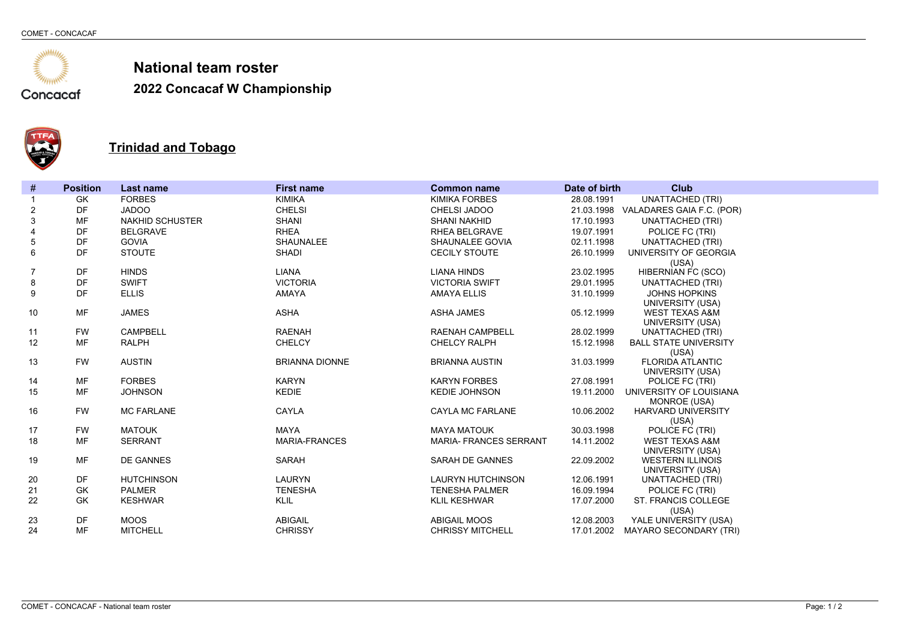

**2022 Concacaf W Championship**



### **Trinidad and Tobago**

| $\#$           | <b>Position</b> | <b>Last name</b>       | <b>First name</b>     | <b>Common name</b>            | Date of birth | <b>Club</b>                          |
|----------------|-----------------|------------------------|-----------------------|-------------------------------|---------------|--------------------------------------|
|                | GK              | <b>FORBES</b>          | <b>KIMIKA</b>         | <b>KIMIKA FORBES</b>          | 28.08.1991    | <b>UNATTACHED (TRI)</b>              |
| $\overline{c}$ | <b>DF</b>       | <b>JADOO</b>           | <b>CHELSI</b>         | <b>CHELSI JADOO</b>           | 21.03.1998    | VALADARES GAIA F.C. (POR)            |
| $\mathsf 3$    | <b>MF</b>       | <b>NAKHID SCHUSTER</b> | <b>SHANI</b>          | <b>SHANI NAKHID</b>           | 17.10.1993    | <b>UNATTACHED (TRI)</b>              |
| $\overline{4}$ | <b>DF</b>       | <b>BELGRAVE</b>        | <b>RHEA</b>           | <b>RHEA BELGRAVE</b>          | 19.07.1991    | POLICE FC (TRI)                      |
| $\mathbf 5$    | DF              | <b>GOVIA</b>           | <b>SHAUNALEE</b>      | SHAUNALEE GOVIA               | 02.11.1998    | <b>UNATTACHED (TRI)</b>              |
| 6              | <b>DF</b>       | <b>STOUTE</b>          | <b>SHADI</b>          | <b>CECILY STOUTE</b>          | 26.10.1999    | UNIVERSITY OF GEORGIA                |
|                |                 |                        |                       |                               |               | (USA)                                |
| 7              | DF              | <b>HINDS</b>           | <b>LIANA</b>          | <b>LIANA HINDS</b>            | 23.02.1995    | <b>HIBERNIAN FC (SCO)</b>            |
| 8              | DF              | <b>SWIFT</b>           | <b>VICTORIA</b>       | <b>VICTORIA SWIFT</b>         | 29.01.1995    | <b>UNATTACHED (TRI)</b>              |
| 9              | <b>DF</b>       | <b>ELLIS</b>           | <b>AMAYA</b>          | <b>AMAYA ELLIS</b>            | 31.10.1999    | <b>JOHNS HOPKINS</b>                 |
|                |                 |                        |                       |                               |               | UNIVERSITY (USA)                     |
| 10             | <b>MF</b>       | <b>JAMES</b>           | <b>ASHA</b>           | <b>ASHA JAMES</b>             | 05.12.1999    | <b>WEST TEXAS A&amp;M</b>            |
|                |                 |                        |                       |                               |               | UNIVERSITY (USA)                     |
| 11             | <b>FW</b>       | <b>CAMPBELL</b>        | <b>RAENAH</b>         | <b>RAENAH CAMPBELL</b>        | 28.02.1999    | <b>UNATTACHED (TRI)</b>              |
| 12             | MF              | <b>RALPH</b>           | <b>CHELCY</b>         | <b>CHELCY RALPH</b>           | 15.12.1998    | <b>BALL STATE UNIVERSITY</b>         |
| 13             | <b>FW</b>       | <b>AUSTIN</b>          | <b>BRIANNA DIONNE</b> | <b>BRIANNA AUSTIN</b>         | 31.03.1999    | (USA)<br><b>FLORIDA ATLANTIC</b>     |
|                |                 |                        |                       |                               |               | UNIVERSITY (USA)                     |
| 14             | <b>MF</b>       | <b>FORBES</b>          | <b>KARYN</b>          | <b>KARYN FORBES</b>           | 27.08.1991    | POLICE FC (TRI)                      |
| 15             | <b>MF</b>       | <b>JOHNSON</b>         | <b>KEDIE</b>          | <b>KEDIE JOHNSON</b>          | 19.11.2000    | UNIVERSITY OF LOUISIANA              |
|                |                 |                        |                       |                               |               | MONROE (USA)                         |
| 16             | <b>FW</b>       | <b>MC FARLANE</b>      | CAYLA                 | <b>CAYLA MC FARLANE</b>       | 10.06.2002    | <b>HARVARD UNIVERSITY</b>            |
|                |                 |                        |                       |                               |               | (USA)                                |
| 17             | <b>FW</b>       | <b>MATOUK</b>          | <b>MAYA</b>           | <b>MAYA MATOUK</b>            | 30.03.1998    | POLICE FC (TRI)                      |
| 18             | <b>MF</b>       | <b>SERRANT</b>         | <b>MARIA-FRANCES</b>  | <b>MARIA- FRANCES SERRANT</b> | 14.11.2002    | <b>WEST TEXAS A&amp;M</b>            |
|                |                 |                        |                       |                               |               | UNIVERSITY (USA)                     |
| 19             | <b>MF</b>       | <b>DE GANNES</b>       | <b>SARAH</b>          | <b>SARAH DE GANNES</b>        | 22.09.2002    | <b>WESTERN ILLINOIS</b>              |
| 20             | <b>DF</b>       | <b>HUTCHINSON</b>      | <b>LAURYN</b>         | <b>LAURYN HUTCHINSON</b>      | 12.06.1991    | UNIVERSITY (USA)<br>UNATTACHED (TRI) |
| 21             | <b>GK</b>       | <b>PALMER</b>          | <b>TENESHA</b>        | <b>TENESHA PALMER</b>         | 16.09.1994    | POLICE FC (TRI)                      |
| 22             | <b>GK</b>       | <b>KESHWAR</b>         | <b>KLIL</b>           | <b>KLIL KESHWAR</b>           | 17.07.2000    | <b>ST. FRANCIS COLLEGE</b>           |
|                |                 |                        |                       |                               |               | (USA)                                |
| 23             | DF              | <b>MOOS</b>            | <b>ABIGAIL</b>        | <b>ABIGAIL MOOS</b>           | 12.08.2003    | YALE UNIVERSITY (USA)                |
| 24             | <b>MF</b>       | <b>MITCHELL</b>        | <b>CHRISSY</b>        | <b>CHRISSY MITCHELL</b>       | 17.01.2002    | <b>MAYARO SECONDARY (TRI)</b>        |
|                |                 |                        |                       |                               |               |                                      |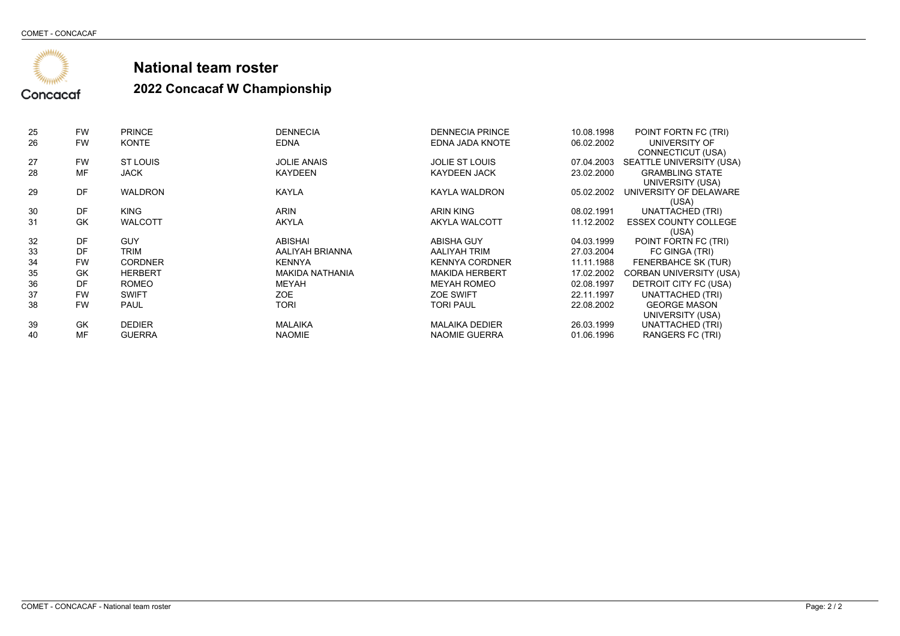

| 25 | <b>FW</b> | <b>PRINCE</b>  | <b>DENNECIA</b>        | <b>DENNECIA PRINCE</b> | 10.08.1998 | POINT FORTN FC (TRI)                |
|----|-----------|----------------|------------------------|------------------------|------------|-------------------------------------|
| 26 | <b>FW</b> | <b>KONTE</b>   | <b>EDNA</b>            | EDNA JADA KNOTE        | 06.02.2002 | UNIVERSITY OF                       |
|    |           |                |                        |                        |            | CONNECTICUT (USA)                   |
| 27 | <b>FW</b> | ST LOUIS       | <b>JOLIE ANAIS</b>     | <b>JOLIE ST LOUIS</b>  |            | 07.04.2003 SEATTLE UNIVERSITY (USA) |
| 28 | MF        | <b>JACK</b>    | <b>KAYDEEN</b>         | <b>KAYDEEN JACK</b>    | 23.02.2000 | <b>GRAMBLING STATE</b>              |
|    |           |                |                        |                        |            | UNIVERSITY (USA)                    |
| 29 | DF        | <b>WALDRON</b> | <b>KAYLA</b>           | <b>KAYLA WALDRON</b>   | 05.02.2002 | UNIVERSITY OF DELAWARE              |
|    |           |                |                        |                        |            | (USA)                               |
| 30 | DF        | <b>KING</b>    | <b>ARIN</b>            | <b>ARIN KING</b>       | 08.02.1991 | <b>UNATTACHED (TRI)</b>             |
| 31 | GK        | <b>WALCOTT</b> | <b>AKYLA</b>           | AKYLA WALCOTT          | 11.12.2002 | <b>ESSEX COUNTY COLLEGE</b>         |
|    |           |                |                        |                        |            | (USA)                               |
| 32 | DF        | <b>GUY</b>     | ABISHAI                | ABISHA GUY             | 04.03.1999 | POINT FORTN FC (TRI)                |
| 33 | DF        | TRIM           | AALIYAH BRIANNA        | AALIYAH TRIM           | 27.03.2004 | FC GINGA (TRI)                      |
| 34 | <b>FW</b> | <b>CORDNER</b> | <b>KENNYA</b>          | <b>KENNYA CORDNER</b>  | 11.11.1988 | FENERBAHCE SK (TUR)                 |
| 35 | GK        | <b>HERBERT</b> | <b>MAKIDA NATHANIA</b> | <b>MAKIDA HERBERT</b>  | 17.02.2002 | CORBAN UNIVERSITY (USA)             |
| 36 | DF        | <b>ROMEO</b>   | MEYAH                  | <b>MEYAH ROMEO</b>     | 02.08.1997 | DETROIT CITY FC (USA)               |
| 37 | <b>FW</b> | <b>SWIFT</b>   | ZOE                    | <b>ZOE SWIFT</b>       | 22.11.1997 | <b>UNATTACHED (TRI)</b>             |
| 38 | <b>FW</b> | <b>PAUL</b>    | <b>TORI</b>            | TORI PAUL              | 22.08.2002 | <b>GEORGE MASON</b>                 |
|    |           |                |                        |                        |            | UNIVERSITY (USA)                    |
| 39 | GK        | <b>DEDIER</b>  | <b>MALAIKA</b>         | <b>MALAIKA DEDIER</b>  | 26.03.1999 | UNATTACHED (TRI)                    |
| 40 | MF        | <b>GUERRA</b>  | <b>NAOMIE</b>          | NAOMIE GUERRA          | 01.06.1996 | RANGERS FC (TRI)                    |
|    |           |                |                        |                        |            |                                     |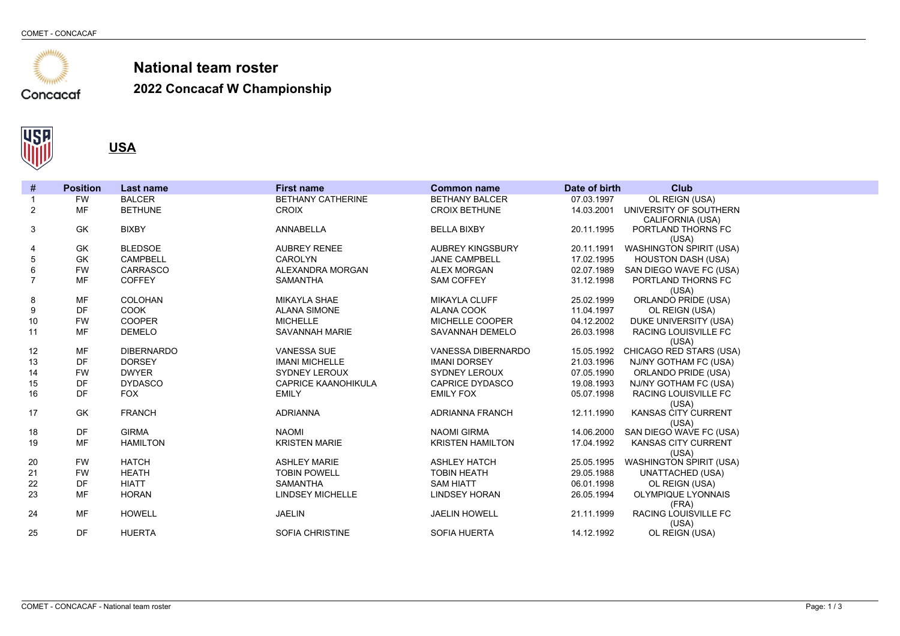

**2022 Concacaf W Championship**



**USA**

| $\#$           | <b>Position</b> | <b>Last name</b>  | <b>First name</b>          | <b>Common name</b>      | Date of birth | <b>Club</b>                             |
|----------------|-----------------|-------------------|----------------------------|-------------------------|---------------|-----------------------------------------|
| $\mathbf{1}$   | <b>FW</b>       | <b>BALCER</b>     | <b>BETHANY CATHERINE</b>   | <b>BETHANY BALCER</b>   | 07.03.1997    | OL REIGN (USA)                          |
| $\overline{2}$ | <b>MF</b>       | <b>BETHUNE</b>    | <b>CROIX</b>               | <b>CROIX BETHUNE</b>    | 14.03.2001    | UNIVERSITY OF SOUTHERN                  |
|                |                 |                   |                            |                         |               | CALIFORNIA (USA)                        |
| 3              | GK              | <b>BIXBY</b>      | <b>ANNABELLA</b>           | <b>BELLA BIXBY</b>      | 20.11.1995    | PORTLAND THORNS FC                      |
|                | GK              | <b>BLEDSOE</b>    | <b>AUBREY RENEE</b>        | <b>AUBREY KINGSBURY</b> | 20.11.1991    | (USA)<br><b>WASHINGTON SPIRIT (USA)</b> |
| 4<br>5         | <b>GK</b>       | <b>CAMPBELL</b>   | <b>CAROLYN</b>             | <b>JANE CAMPBELL</b>    | 17.02.1995    | <b>HOUSTON DASH (USA)</b>               |
| $\,6$          | <b>FW</b>       | CARRASCO          | ALEXANDRA MORGAN           | <b>ALEX MORGAN</b>      | 02.07.1989    | SAN DIEGO WAVE FC (USA)                 |
| $\overline{7}$ | <b>MF</b>       | <b>COFFEY</b>     | <b>SAMANTHA</b>            | <b>SAM COFFEY</b>       | 31.12.1998    | PORTLAND THORNS FC                      |
|                |                 |                   |                            |                         |               | (USA)                                   |
| 8              | MF              | <b>COLOHAN</b>    | <b>MIKAYLA SHAE</b>        | MIKAYLA CLUFF           | 25.02.1999    | ORLANDO PRIDE (USA)                     |
| 9              | DF              | COOK              | <b>ALANA SIMONE</b>        | <b>ALANA COOK</b>       | 11.04.1997    | OL REIGN (USA)                          |
| 10             | <b>FW</b>       | <b>COOPER</b>     | <b>MICHELLE</b>            | MICHELLE COOPER         | 04.12.2002    | DUKE UNIVERSITY (USA)                   |
| 11             | <b>MF</b>       | <b>DEMELO</b>     | SAVANNAH MARIE             | SAVANNAH DEMELO         | 26.03.1998    | RACING LOUISVILLE FC                    |
|                |                 |                   |                            |                         |               | (USA)                                   |
| 12             | <b>MF</b>       | <b>DIBERNARDO</b> | <b>VANESSA SUE</b>         | VANESSA DIBERNARDO      | 15.05.1992    | CHICAGO RED STARS (USA)                 |
| 13             | DF              | <b>DORSEY</b>     | <b>IMANI MICHELLE</b>      | <b>IMANI DORSEY</b>     | 21.03.1996    | NJ/NY GOTHAM FC (USA)                   |
| 14             | <b>FW</b>       | <b>DWYER</b>      | SYDNEY LEROUX              | <b>SYDNEY LEROUX</b>    | 07.05.1990    | ORLANDO PRIDE (USA)                     |
| 15             | DF              | <b>DYDASCO</b>    | <b>CAPRICE KAANOHIKULA</b> | <b>CAPRICE DYDASCO</b>  | 19.08.1993    | NJ/NY GOTHAM FC (USA)                   |
| 16             | DF              | <b>FOX</b>        | <b>EMILY</b>               | <b>EMILY FOX</b>        | 05.07.1998    | RACING LOUISVILLE FC                    |
|                |                 |                   |                            |                         |               | (USA)                                   |
| 17             | GK              | <b>FRANCH</b>     | <b>ADRIANNA</b>            | <b>ADRIANNA FRANCH</b>  | 12.11.1990    | KANSAS CITY CURRENT                     |
|                |                 | <b>GIRMA</b>      | <b>NAOMI</b>               |                         |               | (USA)                                   |
| 18             | DF<br><b>MF</b> |                   |                            | <b>NAOMI GIRMA</b>      | 14.06.2000    | SAN DIEGO WAVE FC (USA)                 |
| 19             |                 | <b>HAMILTON</b>   | <b>KRISTEN MARIE</b>       | <b>KRISTEN HAMILTON</b> | 17.04.1992    | KANSAS CITY CURRENT<br>(USA)            |
| 20             | <b>FW</b>       | <b>HATCH</b>      | <b>ASHLEY MARIE</b>        | <b>ASHLEY HATCH</b>     | 25.05.1995    | <b>WASHINGTON SPIRIT (USA)</b>          |
| 21             | <b>FW</b>       | <b>HEATH</b>      | <b>TOBIN POWELL</b>        | <b>TOBIN HEATH</b>      | 29.05.1988    | <b>UNATTACHED (USA)</b>                 |
| 22             | DF              | <b>HIATT</b>      | <b>SAMANTHA</b>            | <b>SAM HIATT</b>        | 06.01.1998    | OL REIGN (USA)                          |
| 23             | <b>MF</b>       | <b>HORAN</b>      | <b>LINDSEY MICHELLE</b>    | <b>LINDSEY HORAN</b>    | 26.05.1994    | <b>OLYMPIQUE LYONNAIS</b>               |
|                |                 |                   |                            |                         |               | (FRA)                                   |
| 24             | <b>MF</b>       | <b>HOWELL</b>     | <b>JAELIN</b>              | <b>JAELIN HOWELL</b>    | 21.11.1999    | RACING LOUISVILLE FC                    |
|                |                 |                   |                            |                         |               | (USA)                                   |
| 25             | DF              | <b>HUERTA</b>     | <b>SOFIA CHRISTINE</b>     | <b>SOFIA HUERTA</b>     | 14.12.1992    | OL REIGN (USA)                          |
|                |                 |                   |                            |                         |               |                                         |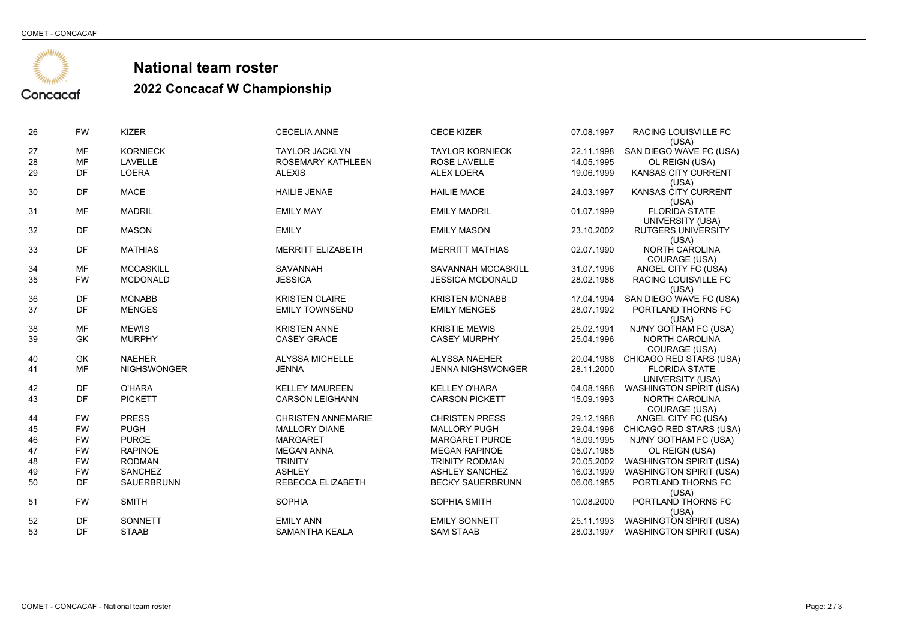**ANAHARANG ARAW ANG MANARITY** 

Concacaf

## **National team roster**

| 26       | <b>FW</b>              | <b>KIZER</b>                    | <b>CECELIA ANNE</b>                             | <b>CECE KIZER</b>                             | 07.08.1997               | RACING LOUISVILLE FC<br>(USA)                    |
|----------|------------------------|---------------------------------|-------------------------------------------------|-----------------------------------------------|--------------------------|--------------------------------------------------|
| 27       | <b>MF</b>              | <b>KORNIECK</b>                 | <b>TAYLOR JACKLYN</b>                           | <b>TAYLOR KORNIECK</b>                        | 22.11.1998               | SAN DIEGO WAVE FC (USA)                          |
| 28       | MF                     | <b>LAVELLE</b>                  | <b>ROSEMARY KATHLEEN</b>                        | <b>ROSE LAVELLE</b>                           | 14.05.1995               | OL REIGN (USA)                                   |
| 29       | DF                     | <b>LOERA</b>                    | <b>ALEXIS</b>                                   | <b>ALEX LOERA</b>                             | 19.06.1999               | <b>KANSAS CITY CURRENT</b>                       |
|          |                        |                                 |                                                 |                                               |                          | (USA)                                            |
| 30       | <b>DF</b>              | <b>MACE</b>                     | <b>HAILIE JENAE</b>                             | <b>HAILIE MACE</b>                            | 24.03.1997               | KANSAS CITY CURRENT                              |
| 31       | <b>MF</b>              | <b>MADRIL</b>                   | <b>EMILY MAY</b>                                | <b>EMILY MADRIL</b>                           | 01.07.1999               | (USA)<br>FLORIDA STATE                           |
|          |                        |                                 |                                                 |                                               |                          | UNIVERSITY (USA)                                 |
| 32       | DF                     | <b>MASON</b>                    | <b>EMILY</b>                                    | <b>EMILY MASON</b>                            | 23.10.2002               | <b>RUTGERS UNIVERSITY</b>                        |
|          |                        |                                 |                                                 |                                               |                          | (USA)                                            |
| 33       | DF                     | <b>MATHIAS</b>                  | <b>MERRITT ELIZABETH</b>                        | <b>MERRITT MATHIAS</b>                        | 02.07.1990               | NORTH CAROLINA                                   |
|          |                        |                                 |                                                 |                                               |                          | COURAGE (USA)                                    |
| 34       | <b>MF</b>              | <b>MCCASKILL</b>                | <b>SAVANNAH</b>                                 | SAVANNAH MCCASKILL                            | 31.07.1996               | ANGEL CITY FC (USA)                              |
| 35       | <b>FW</b>              | <b>MCDONALD</b>                 | <b>JESSICA</b>                                  | <b>JESSICA MCDONALD</b>                       | 28.02.1988               | RACING LOUISVILLE FC                             |
| 36       | DF                     | <b>MCNABB</b>                   | <b>KRISTEN CLAIRE</b>                           | <b>KRISTEN MCNABB</b>                         | 17.04.1994               | (USA)<br>SAN DIEGO WAVE FC (USA)                 |
| 37       | <b>DF</b>              | <b>MENGES</b>                   | <b>EMILY TOWNSEND</b>                           | <b>EMILY MENGES</b>                           | 28.07.1992               | PORTLAND THORNS FC                               |
|          |                        |                                 |                                                 |                                               |                          | (USA)                                            |
| 38       | <b>MF</b>              | <b>MEWIS</b>                    | <b>KRISTEN ANNE</b>                             | <b>KRISTIE MEWIS</b>                          | 25.02.1991               | NJ/NY GOTHAM FC (USA)                            |
| 39       | GK                     | <b>MURPHY</b>                   | <b>CASEY GRACE</b>                              | <b>CASEY MURPHY</b>                           | 25.04.1996               | <b>NORTH CAROLINA</b>                            |
|          |                        |                                 |                                                 |                                               |                          | COURAGE (USA)                                    |
| 40       | <b>GK</b>              | <b>NAEHER</b>                   | <b>ALYSSA MICHELLE</b>                          | <b>ALYSSA NAEHER</b>                          | 20.04.1988               | CHICAGO RED STARS (USA)                          |
| 41       | MF                     | <b>NIGHSWONGER</b>              | <b>JENNA</b>                                    | <b>JENNA NIGHSWONGER</b>                      | 28.11.2000               | <b>FLORIDA STATE</b>                             |
|          |                        |                                 |                                                 |                                               |                          | UNIVERSITY (USA)                                 |
| 42<br>43 | <b>DF</b><br><b>DF</b> | <b>O'HARA</b><br><b>PICKETT</b> | <b>KELLEY MAUREEN</b><br><b>CARSON LEIGHANN</b> | <b>KELLEY O'HARA</b><br><b>CARSON PICKETT</b> | 04.08.1988<br>15.09.1993 | <b>WASHINGTON SPIRIT (USA)</b><br>NORTH CAROLINA |
|          |                        |                                 |                                                 |                                               |                          | COURAGE (USA)                                    |
| 44       | <b>FW</b>              | <b>PRESS</b>                    | <b>CHRISTEN ANNEMARIE</b>                       | <b>CHRISTEN PRESS</b>                         | 29.12.1988               | ANGEL CITY FC (USA)                              |
| 45       | <b>FW</b>              | <b>PUGH</b>                     | <b>MALLORY DIANE</b>                            | <b>MALLORY PUGH</b>                           |                          | 29.04.1998 CHICAGO RED STARS (USA)               |
| 46       | <b>FW</b>              | <b>PURCE</b>                    | <b>MARGARET</b>                                 | <b>MARGARET PURCE</b>                         | 18.09.1995               | NJ/NY GOTHAM FC (USA)                            |
| 47       | <b>FW</b>              | <b>RAPINOE</b>                  | <b>MEGAN ANNA</b>                               | <b>MEGAN RAPINOE</b>                          | 05.07.1985               | OL REIGN (USA)                                   |
| 48       | <b>FW</b>              | <b>RODMAN</b>                   | <b>TRINITY</b>                                  | <b>TRINITY RODMAN</b>                         | 20.05.2002               | <b>WASHINGTON SPIRIT (USA)</b>                   |
| 49       | <b>FW</b>              | <b>SANCHEZ</b>                  | <b>ASHLEY</b>                                   | <b>ASHLEY SANCHEZ</b>                         | 16.03.1999               | <b>WASHINGTON SPIRIT (USA)</b>                   |
| 50       | DF                     | SAUERBRUNN                      | REBECCA ELIZABETH                               | <b>BECKY SAUERBRUNN</b>                       | 06.06.1985               | PORTLAND THORNS FC                               |
|          |                        |                                 |                                                 |                                               |                          | (USA)                                            |
| 51       | <b>FW</b>              | <b>SMITH</b>                    | <b>SOPHIA</b>                                   | SOPHIA SMITH                                  | 10.08.2000               | PORTLAND THORNS FC                               |
| 52       | <b>DF</b>              | SONNETT                         | <b>EMILY ANN</b>                                | <b>EMILY SONNETT</b>                          | 25.11.1993               | (USA)<br><b>WASHINGTON SPIRIT (USA)</b>          |
| 53       | <b>DF</b>              | <b>STAAB</b>                    | SAMANTHA KEALA                                  | <b>SAM STAAB</b>                              | 28.03.1997               | <b>WASHINGTON SPIRIT (USA)</b>                   |
|          |                        |                                 |                                                 |                                               |                          |                                                  |